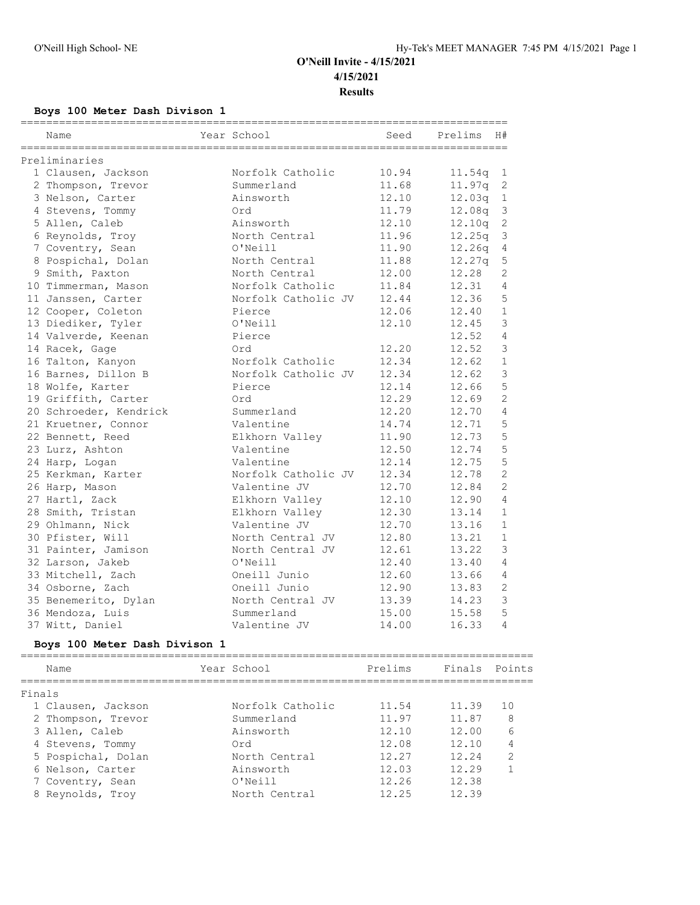## **Boys 100 Meter Dash Divison 1**

|        | Name                          | Year School    |                     | Seed    | Prelims | H#             |
|--------|-------------------------------|----------------|---------------------|---------|---------|----------------|
|        | Preliminaries                 |                |                     |         |         |                |
|        | 1 Clausen, Jackson            |                | Norfolk Catholic    | 10.94   | 11.54q  | 1              |
|        | 2 Thompson, Trevor            | Summerland     |                     | 11.68   | 11.97q  | $\mathbf{2}$   |
|        | 3 Nelson, Carter              | Ainsworth      |                     | 12.10   | 12.03q  | $\mathbf{1}$   |
|        | 4 Stevens, Tommy              | Ord            |                     | 11.79   | 12.08q  | 3              |
|        | 5 Allen, Caleb                | Ainsworth      |                     | 12.10   | 12.10q  | $\mathbf{2}$   |
|        | 6 Reynolds, Troy              | North Central  |                     | 11.96   | 12.25q  | $\mathcal{S}$  |
|        | 7 Coventry, Sean              | O'Neill        |                     | 11.90   | 12.26q  | $\sqrt{4}$     |
|        | 8 Pospichal, Dolan            | North Central  |                     | 11.88   | 12.27q  | 5              |
|        | 9 Smith, Paxton               | North Central  |                     | 12.00   | 12.28   | 2              |
|        | 10 Timmerman, Mason           |                | Norfolk Catholic    | 11.84   | 12.31   | 4              |
|        | 11 Janssen, Carter            |                | Norfolk Catholic JV | 12.44   | 12.36   | 5              |
|        | 12 Cooper, Coleton            | Pierce         |                     | 12.06   | 12.40   | $\mathbf{1}$   |
|        | 13 Diediker, Tyler            | O'Neill        |                     | 12.10   | 12.45   | $\mathcal{S}$  |
|        | 14 Valverde, Keenan           | Pierce         |                     |         | 12.52   | $\overline{4}$ |
|        | 14 Racek, Gage                | Ord            |                     | 12.20   | 12.52   | 3              |
|        | 16 Talton, Kanyon             |                | Norfolk Catholic    | 12.34   | 12.62   | $\mathbf{1}$   |
|        | 16 Barnes, Dillon B           |                | Norfolk Catholic JV | 12.34   | 12.62   | 3              |
|        | 18 Wolfe, Karter              | Pierce         |                     | 12.14   | 12.66   | 5              |
|        | 19 Griffith, Carter           | Ord            |                     | 12.29   | 12.69   | $\overline{c}$ |
|        | 20 Schroeder, Kendrick        | Summerland     |                     | 12.20   | 12.70   | 4              |
|        | 21 Kruetner, Connor           | Valentine      |                     | 14.74   | 12.71   | 5              |
|        | 22 Bennett, Reed              | Elkhorn Valley |                     | 11.90   | 12.73   | 5              |
|        | 23 Lurz, Ashton               | Valentine      |                     | 12.50   | 12.74   | 5              |
|        | 24 Harp, Logan                | Valentine      |                     | 12.14   | 12.75   | 5              |
|        | 25 Kerkman, Karter            |                | Norfolk Catholic JV | 12.34   | 12.78   | $\mathbf{2}$   |
|        | 26 Harp, Mason                | Valentine JV   |                     | 12.70   | 12.84   | 2              |
|        | 27 Hartl, Zack                | Elkhorn Valley |                     | 12.10   | 12.90   | 4              |
|        | 28 Smith, Tristan             |                | Elkhorn Valley      | 12.30   | 13.14   | $\mathbf{1}$   |
|        | 29 Ohlmann, Nick              | Valentine JV   |                     | 12.70   | 13.16   | $\mathbf{1}$   |
|        | 30 Pfister, Will              |                | North Central JV    | 12.80   | 13.21   | $\mathbf{1}$   |
|        | 31 Painter, Jamison           |                | North Central JV    | 12.61   | 13.22   | $\mathcal{S}$  |
|        | 32 Larson, Jakeb              | O'Neill        |                     | 12.40   | 13.40   | $\overline{4}$ |
|        | 33 Mitchell, Zach             | Oneill Junio   |                     | 12.60   | 13.66   | $\overline{4}$ |
|        | 34 Osborne, Zach              | Oneill Junio   |                     | 12.90   | 13.83   | $\mathbf{2}$   |
|        | 35 Benemerito, Dylan          |                | North Central JV    | 13.39   | 14.23   | $\mathcal{S}$  |
|        | 36 Mendoza, Luis              | Summerland     |                     | 15.00   | 15.58   | 5              |
|        | 37 Witt, Daniel               | Valentine JV   |                     | 14.00   | 16.33   | $\overline{4}$ |
|        |                               |                |                     |         |         |                |
|        | Boys 100 Meter Dash Divison 1 |                |                     |         |         |                |
|        | Name                          | Year School    |                     | Prelims | Finals  | Points         |
| Finals |                               |                |                     |         |         |                |
|        | 1 Clausen, Jackson            |                | Norfolk Catholic    | 11.54   | 11.39   | 10             |
|        | 2 Thompson, Trevor            | Summerland     |                     | 11.97   | 11.87   | 8              |
|        | 3 Allen, Caleb                | Ainsworth      |                     | 12.10   | 12.00   | 6              |
|        | 4 Stevens, Tommy              | Ord            |                     | 12.08   | 12.10   | 4              |
|        | 5 Pospichal, Dolan            | North Central  |                     | 12.27   | 12.24   | 2              |
|        | 6 Nelson, Carter              | Ainsworth      |                     | 12.03   | 12.29   | $\mathbf{1}$   |
|        | 7 Coventry, Sean              | O'Neill        |                     | 12.26   | 12.38   |                |
|        | 8 Reynolds, Troy              | North Central  |                     | 12.25   | 12.39   |                |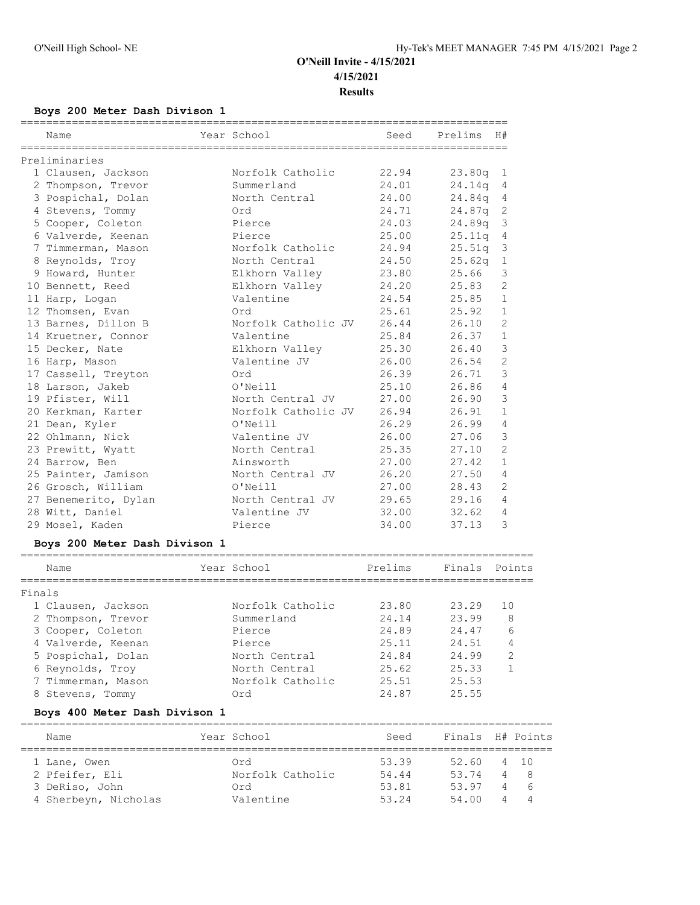## **Boys 200 Meter Dash Divison 1**

| Name                 | Year School         | Seed  | Prelims     | H#             |
|----------------------|---------------------|-------|-------------|----------------|
| Preliminaries        |                     |       |             |                |
| 1 Clausen, Jackson   | Norfolk Catholic    | 22.94 | $23.80q$ 1  |                |
| 2 Thompson, Trevor   | Summerland          | 24.01 | 24.14q      | 4              |
| 3 Pospichal, Dolan   | North Central       | 24.00 | $24.84q$ 4  |                |
| 4 Stevens, Tommy     | Ord                 | 24.71 | $24.87q$ 2  |                |
| 5 Cooper, Coleton    | Pierce              | 24.03 | 24.89q      | $\mathbf{3}$   |
| 6 Valverde, Keenan   | Pierce              | 25.00 | 25.11q 4    |                |
| 7 Timmerman, Mason   | Norfolk Catholic    | 24.94 | 25.51q      | -3             |
| 8 Reynolds, Troy     | North Central       | 24.50 | $25.62q$ 1  |                |
| 9 Howard, Hunter     | Elkhorn Valley      | 23.80 | 25.66       | 3              |
| 10 Bennett, Reed     | Elkhorn Valley      | 24.20 | 25.83       | $\overline{c}$ |
| 11 Harp, Logan       | Valentine           | 24.54 | 25.85       | $\mathbf{1}$   |
| 12 Thomsen, Evan     | Ord                 | 25.61 | 25.92       | $\mathbf{1}$   |
| 13 Barnes, Dillon B  | Norfolk Catholic JV | 26.44 | 26.10       | 2              |
| 14 Kruetner, Connor  | Valentine           |       | 25.84 26.37 | $\mathbf{1}$   |
| 15 Decker, Nate      | Elkhorn Valley      | 25.30 | 26.40       | 3              |
| 16 Harp, Mason       | Valentine JV        | 26.00 | 26.54       | $\overline{2}$ |
| 17 Cassell, Treyton  | Ord                 | 26.39 | 26.71       | 3              |
| 18 Larson, Jakeb     | O'Neill             | 25.10 | 26.86       | $\overline{4}$ |
| 19 Pfister, Will     | North Central JV    | 27.00 | 26.90       | 3              |
| 20 Kerkman, Karter   | Norfolk Catholic JV | 26.94 | 26.91       | $\mathbf{1}$   |
| 21 Dean, Kyler       | O'Neill             | 26.29 | 26.99       | $\overline{4}$ |
| 22 Ohlmann, Nick     | Valentine JV        | 26.00 | 27.06       | 3              |
| 23 Prewitt, Wyatt    | North Central       | 25.35 | 27.10       | $\overline{2}$ |
| 24 Barrow, Ben       | Ainsworth           | 27.00 | 27.42       | $\mathbf{1}$   |
| 25 Painter, Jamison  | North Central JV    | 26.20 | 27.50       | 4              |
| 26 Grosch, William   | O'Neill             | 27.00 | 28.43       | $\overline{2}$ |
| 27 Benemerito, Dylan | North Central JV    | 29.65 | 29.16       | 4              |
| 28 Witt, Daniel      | Valentine JV        | 32.00 | 32.62       | 4              |
| 29 Mosel, Kaden      | Pierce              | 34.00 | 37.13       | 3              |

## **Boys 200 Meter Dash Divison 1**

|        | Name               | Year School      | Prelims | Finals | Points        |
|--------|--------------------|------------------|---------|--------|---------------|
| Finals |                    |                  |         |        |               |
|        |                    |                  |         |        |               |
|        | 1 Clausen, Jackson | Norfolk Catholic | 23.80   | 23.29  | 1 O           |
|        | 2 Thompson, Trevor | Summerland       | 24.14   | 23.99  | 8             |
|        | 3 Cooper, Coleton  | Pierce           | 24.89   | 24.47  | 6             |
|        | 4 Valverde, Keenan | Pierce           | 25.11   | 24.51  | 4             |
|        | 5 Pospichal, Dolan | North Central    | 24.84   | 24.99  | $\mathcal{D}$ |
|        | 6 Reynolds, Troy   | North Central    | 25.62   | 25.33  |               |
|        | 7 Timmerman, Mason | Norfolk Catholic | 25.51   | 25.53  |               |
|        | 8 Stevens, Tommy   | Ord              | 24.87   | 25.55  |               |

### **Boys 400 Meter Dash Divison 1**

| Name                 | Year School      | Seed  |       |   | Finals H# Points |
|----------------------|------------------|-------|-------|---|------------------|
|                      |                  |       |       |   |                  |
| 1 Lane, Owen         | Ord              | 53.39 | 52.60 |   | 4 10             |
| 2 Pfeifer, Eli       | Norfolk Catholic | 54.44 | 53.74 |   | 4 8              |
| 3 DeRiso, John       | Ord              | 53.81 | 53.97 | 4 | 6                |
| 4 Sherbeyn, Nicholas | Valentine        | 53 24 | 54 00 | 4 | $\overline{4}$   |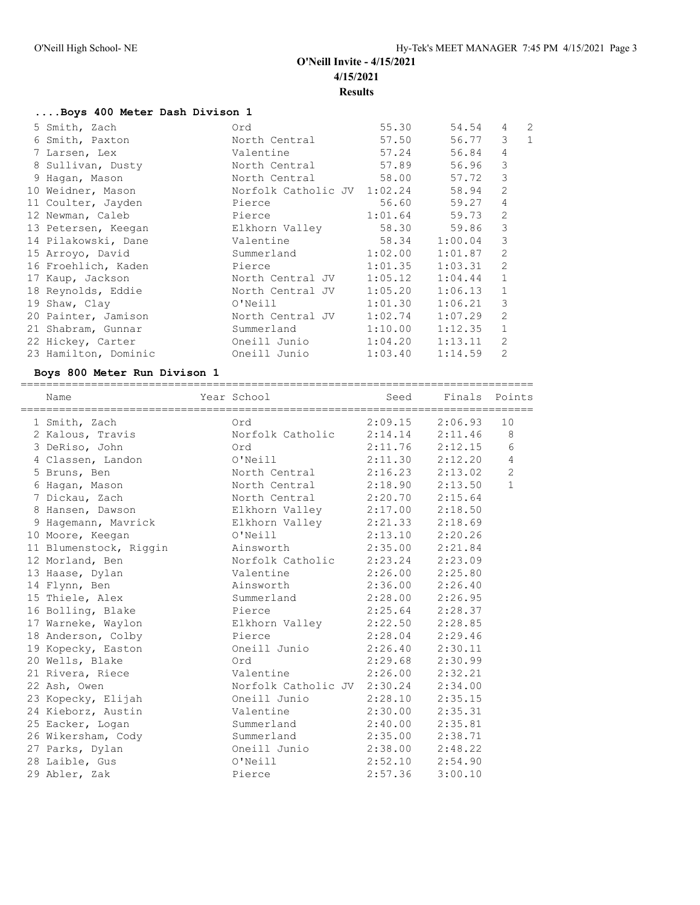================================================================================

## **....Boys 400 Meter Dash Divison 1**

| 5 Smith, Zach        | Ord                         | 55.30               | 54.54   | 4              | $\overline{2}$ |
|----------------------|-----------------------------|---------------------|---------|----------------|----------------|
| 6 Smith, Paxton      | North Central               | 57.50               | 56.77   | 3              | $\mathbf{1}$   |
| 7 Larsen, Lex        | Valentine                   | 57.24               | 56.84   | 4              |                |
| 8 Sullivan, Dusty    | North Central               | 57.89               | 56.96   | 3              |                |
| 9 Haqan, Mason       | North Central               | 58.00               | 57.72   | 3              |                |
| 10 Weidner, Mason    | Norfolk Catholic JV 1:02.24 |                     | 58.94   | 2              |                |
| 11 Coulter, Jayden   | Pierce                      | 56.60               | 59.27   | 4              |                |
| 12 Newman, Caleb     | Pierce                      | 1:01.64             | 59.73   | 2              |                |
| 13 Petersen, Keegan  | Elkhorn Valley              | 58.30               | 59.86   | 3              |                |
| 14 Pilakowski, Dane  | Valentine                   | 58.34               | 1:00.04 | 3              |                |
| 15 Arroyo, David     | Summerland                  | 1:02.00             | 1:01.87 | $\overline{2}$ |                |
| 16 Froehlich, Kaden  | Pierce                      | 1:01.35             | 1:03.31 | 2              |                |
| 17 Kaup, Jackson     | North Central JV            | 1:05.12             | 1:04.44 | $\mathbf{1}$   |                |
| 18 Reynolds, Eddie   | North Central JV            | 1:05.20             | 1:06.13 | $\mathbf{1}$   |                |
| 19 Shaw, Clay        | O'Neill                     | 1:01.30             | 1:06.21 | 3              |                |
| 20 Painter, Jamison  | North Central JV            | 1:02.74             | 1:07.29 | $\overline{2}$ |                |
| 21 Shabram, Gunnar   | Summerland                  | 1:10.00             | 1:12.35 | $\mathbf{1}$   |                |
| 22 Hickey, Carter    | Oneill Junio                | $1:04.20$ $1:13.11$ |         | $\mathfrak{D}$ |                |
| 23 Hamilton, Dominic | Oneill Junio                | 1:03.40             | 1:14.59 | $\overline{2}$ |                |

### **Boys 800 Meter Run Divison 1**

| Name                   | Year School                 | Seed                |         | Finals Points  |
|------------------------|-----------------------------|---------------------|---------|----------------|
| 1 Smith, Zach          | Ord                         | 2:09.15             | 2:06.93 | 10             |
| 2 Kalous, Travis       | Norfolk Catholic            | $2:14.14$ $2:11.46$ |         | 8              |
| 3 DeRiso, John         | Ord                         | $2:11.76$ $2:12.15$ |         | 6              |
| 4 Classen, Landon      | O'Neill                     | 2:11.30             | 2:12.20 | 4              |
| 5 Bruns, Ben           | North Central               | 2:16.23             | 2:13.02 | $\overline{c}$ |
| 6 Hagan, Mason         | North Central               | 2:18.90             | 2:13.50 | $\mathbf{1}$   |
| 7 Dickau, Zach         | North Central               | $2:20.70$ $2:15.64$ |         |                |
| 8 Hansen, Dawson       | Elkhorn Valley              | 2:17.00             | 2:18.50 |                |
| 9 Hagemann, Mavrick    | Elkhorn Valley              | 2:21.33             | 2:18.69 |                |
| 10 Moore, Keegan       | O'Neill                     | 2:13.10             | 2:20.26 |                |
| 11 Blumenstock, Riggin | Ainsworth                   | 2:35.00             | 2:21.84 |                |
| 12 Morland, Ben        | Norfolk Catholic            | 2:23.24             | 2:23.09 |                |
| 13 Haase, Dylan        | Valentine                   | $2:26.00$ $2:25.80$ |         |                |
| 14 Flynn, Ben          | Ainsworth                   | 2:36.00             | 2:26.40 |                |
| 15 Thiele, Alex        | Summerland                  | 2:28.00             | 2:26.95 |                |
| 16 Bolling, Blake      | Pierce                      | 2:25.64             | 2:28.37 |                |
| 17 Warneke, Waylon     | Elkhorn Valley              | 2:22.50             | 2:28.85 |                |
| 18 Anderson, Colby     | Pierce                      | $2:28.04$ $2:29.46$ |         |                |
| 19 Kopecky, Easton     | Oneill Junio                | 2:26.40             | 2:30.11 |                |
| 20 Wells, Blake        | Ord                         | 2:29.68             | 2:30.99 |                |
| 21 Rivera, Riece       | Valentine                   | 2:26.00             | 2:32.21 |                |
| 22 Ash, Owen           | Norfolk Catholic JV 2:30.24 |                     | 2:34.00 |                |
| 23 Kopecky, Elijah     | Oneill Junio                | $2:28.10$ $2:35.15$ |         |                |
| 24 Kieborz, Austin     | Valentine                   | $2:30.00$ $2:35.31$ |         |                |
| 25 Eacker, Logan       | Summerland                  | 2:40.00             | 2:35.81 |                |
| 26 Wikersham, Cody     | Summerland                  | 2:35.00             | 2:38.71 |                |
| 27 Parks, Dylan        | Oneill Junio                | $2:38.00$ $2:48.22$ |         |                |
| 28 Laible, Gus         | O'Neill                     | $2:52.10$ $2:54.90$ |         |                |
| 29 Abler, Zak          | Pierce                      | 2:57.36             | 3:00.10 |                |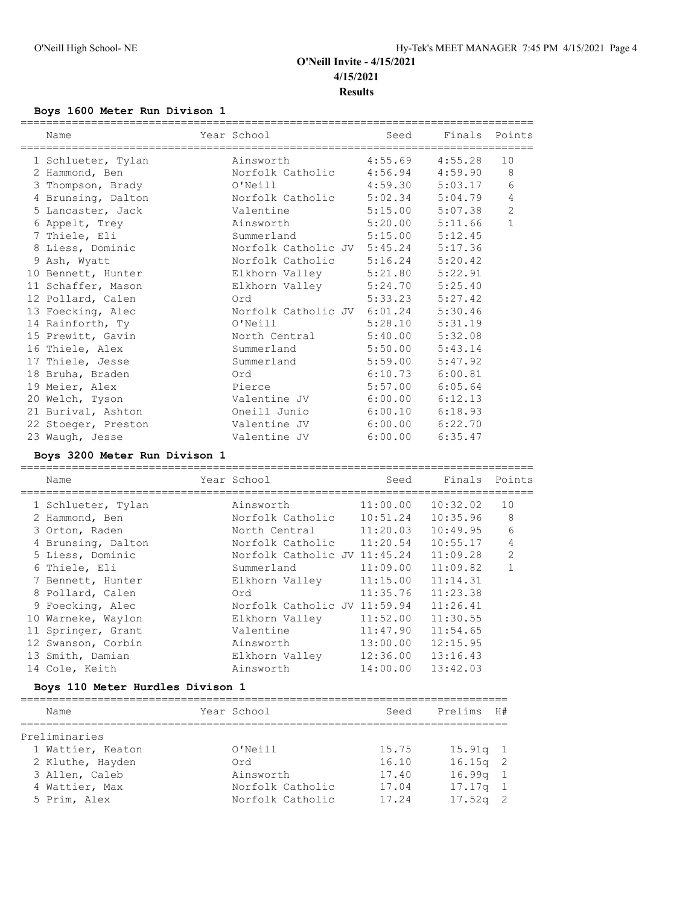#### **Boys 1600 Meter Run Divison 1**

| Name                                              | Year School                         |                     | Seed Finals Points |                |
|---------------------------------------------------|-------------------------------------|---------------------|--------------------|----------------|
| 1 Schlueter, Tylan                                | Ainsworth 4:55.69 4:55.28           |                     |                    | 10             |
| 2 Hammond, Ben Morfolk Catholic 4:56.94 4:59.90 8 |                                     |                     |                    |                |
| 3 Thompson, Brady                                 | 0'Neill 4:59.30 5:03.17             |                     |                    | 6              |
| 4 Brunsing, Dalton                                | Norfolk Catholic 5:02.34 5:04.79    |                     |                    | 4              |
| 5 Lancaster, Jack                                 | Valentine 5:15.00 5:07.38           |                     |                    | $\overline{2}$ |
|                                                   |                                     |                     |                    | $\mathbf{1}$   |
| 7 Thiele, Eli                                     | Summerland 5:15.00 5:12.45          |                     |                    |                |
| 8 Liess, Dominic                                  | Norfolk Catholic JV 5:45.24 5:17.36 |                     |                    |                |
| 9 Ash, Wyatt                                      | Norfolk Catholic 5:16.24 5:20.42    |                     |                    |                |
| 10 Bennett, Hunter                                | Elkhorn Valley 5:21.80 5:22.91      |                     |                    |                |
| 11 Schaffer, Mason                                | Elkhorn Valley 5:24.70 5:25.40      |                     |                    |                |
| 12 Pollard, Calen                                 | Ord 5:33.23 5:27.42                 |                     |                    |                |
| 13 Foecking, Alec                                 | Norfolk Catholic JV 6:01.24 5:30.46 |                     |                    |                |
| 14 Rainforth, Ty                                  | 0'Neill 5:28.10 5:31.19             |                     |                    |                |
| 15 Prewitt, Gavin                                 | North Central 5:40.00 5:32.08       |                     |                    |                |
| 16 Thiele, Alex                                   | Summerland 5:50.00 5:43.14          |                     |                    |                |
| 17 Thiele, Jesse                                  | Summerland 5:59.00 5:47.92          |                     |                    |                |
| 18 Bruha, Braden                                  | Ord                                 | $6:10.73$ $6:00.81$ |                    |                |
| 19 Meier, Alex                                    | Pierce                              | $5:57.00$ $6:05.64$ |                    |                |
| 20 Welch, Tyson                                   | Valentine JV 6:00.00 6:12.13        |                     |                    |                |
| 21 Burival, Ashton                                | Oneill Junio                        | $6:00.10$ $6:18.93$ |                    |                |
| 22 Stoeger, Preston                               | Valentine JV 6:00.00 6:22.70        |                     |                    |                |
| 23 Waugh, Jesse                                   | Valentine JV 6:00.00                |                     | 6:35.47            |                |

#### **Boys 3200 Meter Run Divison 1**

================================================================================ Name The Year School Contract Seed Finals Points ================================================================================ 1 Schlueter, Tylan Ainsworth 11:00.00 10:32.02 10 2 Hammond, Ben Norfolk Catholic 10:51.24 10:35.96 8 3 Orton, Raden North Central 11:20.03 10:49.95 6 4 Brunsing, Dalton Norfolk Catholic 11:20.54 10:55.17 4 5 Liess, Dominic Norfolk Catholic JV 11:45.24 11:09.28 2 6 Thiele, Eli Summerland 11:09.00 11:09.82 1 7 Bennett, Hunter Elkhorn Valley 11:15.00 11:14.31 8 Pollard, Calen Ord 11:35.76 11:23.38 9 Foecking, Alec Norfolk Catholic JV 11:59.94 11:26.41 10 Warneke, Waylon Elkhorn Valley 11:52.00 11:30.55 11 Springer, Grant Valentine 11:47.90 11:54.65 12 Swanson, Corbin Ainsworth 13:00.00 12:15.95 13 Smith, Damian Elkhorn Valley 12:36.00 13:16.43 14 Cole, Keith Ainsworth 14:00.00 13:42.03

#### **Boys 110 Meter Hurdles Divison 1**

| Name              |  | Year School      | Seed  | Prelims    | <b>H#</b> |  |  |  |  |  |  |
|-------------------|--|------------------|-------|------------|-----------|--|--|--|--|--|--|
|                   |  |                  |       |            |           |  |  |  |  |  |  |
| Preliminaries     |  |                  |       |            |           |  |  |  |  |  |  |
| 1 Wattier, Keaton |  | O'Neill          | 15.75 | $15.91q$ 1 |           |  |  |  |  |  |  |
| 2 Kluthe, Hayden  |  | Ord              | 16.10 | $16.15q$ 2 |           |  |  |  |  |  |  |
| 3 Allen, Caleb    |  | Ainsworth        | 17.40 | $16.99q$ 1 |           |  |  |  |  |  |  |
| 4 Wattier, Max    |  | Norfolk Catholic | 17.04 | $17.17q$ 1 |           |  |  |  |  |  |  |
| 5 Prim, Alex      |  | Norfolk Catholic | 17.24 | $17.52q$ 2 |           |  |  |  |  |  |  |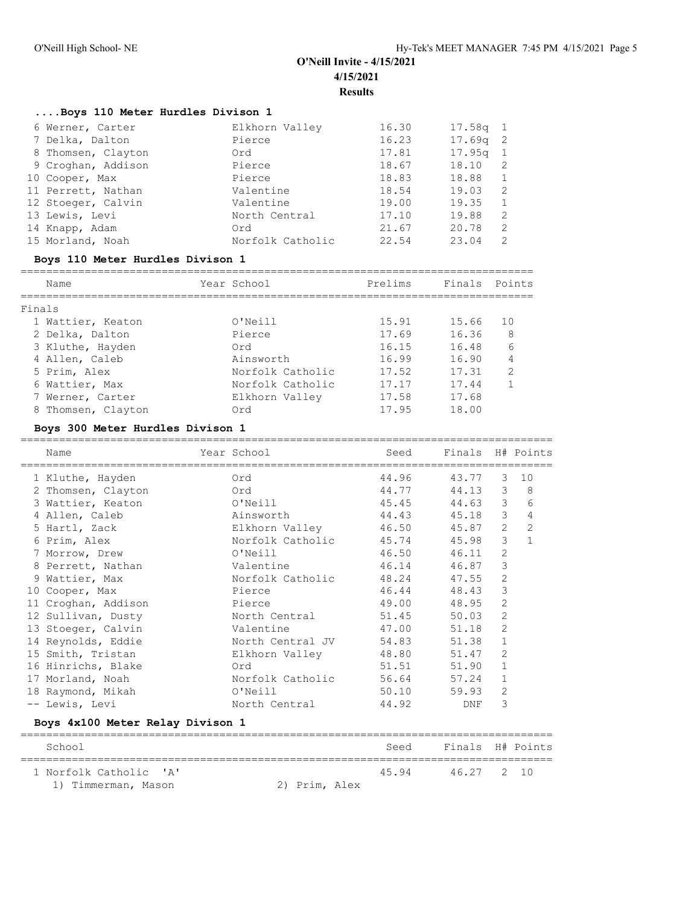## **....Boys 110 Meter Hurdles Divison 1**

| 6 Werner, Carter   | Elkhorn Valley   | 16.30 | $17.58q$ 1 |                |
|--------------------|------------------|-------|------------|----------------|
| 7 Delka, Dalton    | Pierce           | 16.23 | $17.69q$ 2 |                |
| 8 Thomsen, Clayton | Ord              | 17.81 | $17.95q$ 1 |                |
| 9 Croghan, Addison | Pierce           | 18.67 | 18.10      | -2             |
| 10 Cooper, Max     | Pierce           | 18.83 | 18.88      | $\overline{1}$ |
| 11 Perrett, Nathan | Valentine        | 18.54 | 19.03      | -2             |
| 12 Stoeger, Calvin | Valentine        | 19.00 | 19.35      | -1             |
| 13 Lewis, Levi     | North Central    | 17.10 | 19.88      | -2             |
| 14 Knapp, Adam     | Ord              | 21.67 | 20.78      | 2              |
| 15 Morland, Noah   | Norfolk Catholic | 22.54 | 23.04      | 2              |

### **Boys 110 Meter Hurdles Divison 1**

| Name |                                                                                                                                                                  |                  | Prelims     |       |                |
|------|------------------------------------------------------------------------------------------------------------------------------------------------------------------|------------------|-------------|-------|----------------|
|      |                                                                                                                                                                  |                  |             |       |                |
|      |                                                                                                                                                                  | O'Neill          | 15.91       | 15.66 | 1 O            |
|      |                                                                                                                                                                  | Pierce           | 17.69       | 16.36 | 8              |
|      |                                                                                                                                                                  | Ord              | 16.15       | 16.48 | 6              |
|      |                                                                                                                                                                  | Ainsworth        | 16.99       | 16.90 | 4              |
|      |                                                                                                                                                                  | Norfolk Catholic | 17.52       | 17.31 | $\mathfrak{D}$ |
|      |                                                                                                                                                                  | Norfolk Catholic | 17.17       | 17.44 |                |
|      |                                                                                                                                                                  | Elkhorn Valley   | 17.58       | 17.68 |                |
|      |                                                                                                                                                                  | Ord              | 17.95       | 18.00 |                |
|      | Finals<br>1 Wattier, Keaton<br>2 Delka, Dalton<br>3 Kluthe, Hayden<br>4 Allen, Caleb<br>5 Prim, Alex<br>6 Wattier, Max<br>7 Werner, Carter<br>8 Thomsen, Clayton |                  | Year School |       | Finals Points  |

### **Boys 300 Meter Hurdles Divison 1**

| Name                                                                                                                                                                                                                                               |  | Year School            |       | Seed           |                | Finals H# Points    |  |  |
|----------------------------------------------------------------------------------------------------------------------------------------------------------------------------------------------------------------------------------------------------|--|------------------------|-------|----------------|----------------|---------------------|--|--|
| 1 Kluthe, Hayden<br>and the control of the control of the control of the control of the control of the control of the control of the control of the control of the control of the control of the control of the control of the control of the cont |  |                        |       | 44.96<br>43.77 | 3              | 10                  |  |  |
| 2 Thomsen, Clayton<br><u>na sa Barangara Cina a Cina a Cina a Cina a Cina a Cina a Cina a Cina a Cina a Cina a Cina a Cina a Cina a Ci</u>                                                                                                         |  |                        |       | 44.77<br>44.13 |                | $3 \quad 8$         |  |  |
| 3 Wattier, Keaton O'Neill                                                                                                                                                                                                                          |  |                        |       | 45.45 44.63    |                | 3 <sup>7</sup><br>6 |  |  |
| 4 Allen, Caleb                                                                                                                                                                                                                                     |  | Ainsworth              |       | 44.43<br>45.18 | 3              | $\overline{4}$      |  |  |
| 5 Hartl, Zack                                                                                                                                                                                                                                      |  | Elkhorn Valley 50      |       | 45.87          | $\overline{2}$ | $\overline{c}$      |  |  |
| 6 Prim, Alex                                                                                                                                                                                                                                       |  | Norfolk Catholic       |       | 45.74<br>45.98 | 3              | $\mathbf{1}$        |  |  |
| 7 Morrow, Drew                                                                                                                                                                                                                                     |  | O'Neill                |       | 46.50<br>46.11 | $\overline{c}$ |                     |  |  |
| 8 Perrett, Nathan                                                                                                                                                                                                                                  |  | Valentine              | 46.14 | 46.87          | 3              |                     |  |  |
| 9 Wattier, Max                                                                                                                                                                                                                                     |  | Norfolk Catholic       |       | 48.24<br>47.55 | $\mathbf{2}$   |                     |  |  |
| 10 Cooper, Max                                                                                                                                                                                                                                     |  | Pierce                 |       | 46.44<br>48.43 | 3              |                     |  |  |
| 11 Croghan, Addison                                                                                                                                                                                                                                |  | Pierce                 |       | 49.00<br>48.95 | $\overline{2}$ |                     |  |  |
| 12 Sullivan, Dusty                                                                                                                                                                                                                                 |  | North Central 51.45    |       | 50.03          | $\overline{2}$ |                     |  |  |
| 13 Stoeger, Calvin                                                                                                                                                                                                                                 |  | Valentine 47.00        |       | 51.18          | $\mathfrak{D}$ |                     |  |  |
| 14 Reynolds, Eddie                                                                                                                                                                                                                                 |  | North Central JV       |       | 54.83<br>51.38 | $\mathbf{1}$   |                     |  |  |
| 15 Smith, Tristan                                                                                                                                                                                                                                  |  | Elkhorn Valley 18.80   |       | 51.47          | 2              |                     |  |  |
| 16 Hinrichs, Blake                                                                                                                                                                                                                                 |  | Ord                    |       | 51.51<br>51.90 | $\mathbf{1}$   |                     |  |  |
| 17 Morland, Noah                                                                                                                                                                                                                                   |  | Norfolk Catholic 56.64 |       | 57.24          | $\mathbf{1}$   |                     |  |  |
| 18 Raymond, Mikah                                                                                                                                                                                                                                  |  | O'Neill                |       | 50.10<br>59.93 | 2              |                     |  |  |
| -- Lewis, Levi                                                                                                                                                                                                                                     |  | North Central          |       | 44.92<br>DNF   | 3              |                     |  |  |
| Boys 4x100 Meter Relay Divison 1                                                                                                                                                                                                                   |  |                        |       |                |                |                     |  |  |

| School                                        |               | Seed | Finals H# Points |  |
|-----------------------------------------------|---------------|------|------------------|--|
| 1 Norfolk Catholic 'A'<br>1) Timmerman, Mason | 2) Prim, Alex | 4594 | 46.27 2 10       |  |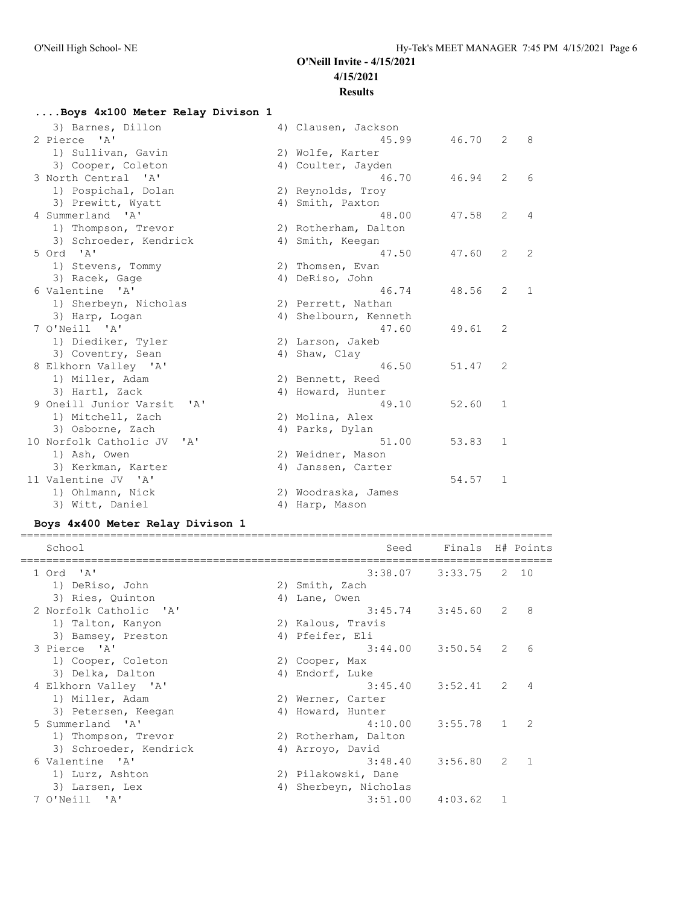### **....Boys 4x100 Meter Relay Divison 1** 3) Barnes, Dillon (4) Clausen, Jackson<br>2 46.70 41 (45.99) 46.70 48 2 Pierce 'A' 45.99 46.70 2 8 1) Sullivan, Gavin 1988 (2018) 20 Wolfe, Karter 3) Cooper, Coleton 4) Coulter, Jayden 3 North Central 'A' 46.70 46.94 2 6 1) Pospichal, Dolan 2) Reynolds, Troy 3) Prewitt, Wyatt (4) Smith, Paxton 4 Summerland 'A' 48.00 47.58 2 4 1) Thompson, Trevor 2) Rotherham, Dalton 3) Schroeder, Kendrick and Allamith, Keegan 5 Ord 'A' 4) Smith, Keegan<br>
5 Ord 'A' 47.50 47.60 2 2<br>
1) Stevens, Tommy 2) Thomsen, Evan<br>
3) Racek, Gage 4) DeRiso, John<br>
6 Valentine 'A' 1) Sherbourne in the Sherbourne in the Sherbourne in the 19 1) Stevens, Tommy 12) Thomsen, Evan 3) Racek, Gage  $4)$  DeRiso, John 6 Valentine 'A' 46.74 48.56 2 1 1) Sherbeyn, Nicholas 2) Perrett, Nathan 3) Harp, Logan 4) Shelbourn, Kenneth 7 O'Neill 'A' 47.60 49.61 2 1) Diediker, Tyler 1988 (2) Larson, Jakeb 3) Coventry, Sean (4) Shaw, Clay 8 Elkhorn Valley 'A' 46.50 51.47 2 1) Miller, Adam (2) Bennett, Reed 3) Hartl, Zack and All Howard, Hunter 9 Oneill Junior Varsit 'A' 49.10 52.60 1 1) Mitchell, Zach 2) Molina, Alex 3) Osborne, Zach  $4)$  Parks, Dylan 10 Norfolk Catholic JV 'A' 51.00 53.83 1 1) Ash, Owen 2) Weidner, Mason 3) Kerkman, Karter 4) Janssen, Carter 11 Valentine JV 'A' 54.57 1 1) Ohlmann, Nick 2) Woodraska, James 3) Witt, Daniel (4) Harp, Mason

#### **Boys 4x400 Meter Relay Divison 1**

| School                 |    | Seed                 | Finals H# Points    |              |      |
|------------------------|----|----------------------|---------------------|--------------|------|
| 1 Ord 'A'              |    |                      | $3:38.07$ $3:33.75$ |              | 2 10 |
| 1) DeRiso, John        |    | 2) Smith, Zach       |                     |              |      |
| 3) Ries, Quinton       |    | 4) Lane, Owen        |                     |              |      |
| 2 Norfolk Catholic 'A' |    |                      | $3:45.74$ $3:45.60$ | 2            | 8    |
| 1) Talton, Kanyon      |    | 2) Kalous, Travis    |                     |              |      |
| 3) Bamsey, Preston     |    | 4) Pfeifer, Eli      |                     |              |      |
| 3 Pierce 'A'           |    | 3:44.00              | 3:50.54             | 2            | 6    |
| 1) Cooper, Coleton     |    | 2) Cooper, Max       |                     |              |      |
| 3) Delka, Dalton       |    | 4) Endorf, Luke      |                     |              |      |
| 4 Elkhorn Valley 'A'   |    | 3:45.40              | 3:52.41             | 2            | 4    |
| 1) Miller, Adam        |    | 2) Werner, Carter    |                     |              |      |
| 3) Petersen, Keegan    |    | 4) Howard, Hunter    |                     |              |      |
| 5 Summerland 'A'       |    |                      | $4:10.00$ $3:55.78$ | $\mathbf{1}$ | 2    |
| 1) Thompson, Trevor    |    | 2) Rotherham, Dalton |                     |              |      |
| 3) Schroeder, Kendrick |    | 4) Arroyo, David     |                     |              |      |
| 6 Valentine 'A'        |    | 3:48.40              | 3:56.80             | 2            |      |
| 1) Lurz, Ashton        |    | 2) Pilakowski, Dane  |                     |              |      |
| 3) Larsen, Lex         | 4) | Sherbeyn, Nicholas   |                     |              |      |
| 7 O'Neill 'A'          |    | 3:51.00              | 4:03.62             | $\mathbf{1}$ |      |
|                        |    |                      |                     |              |      |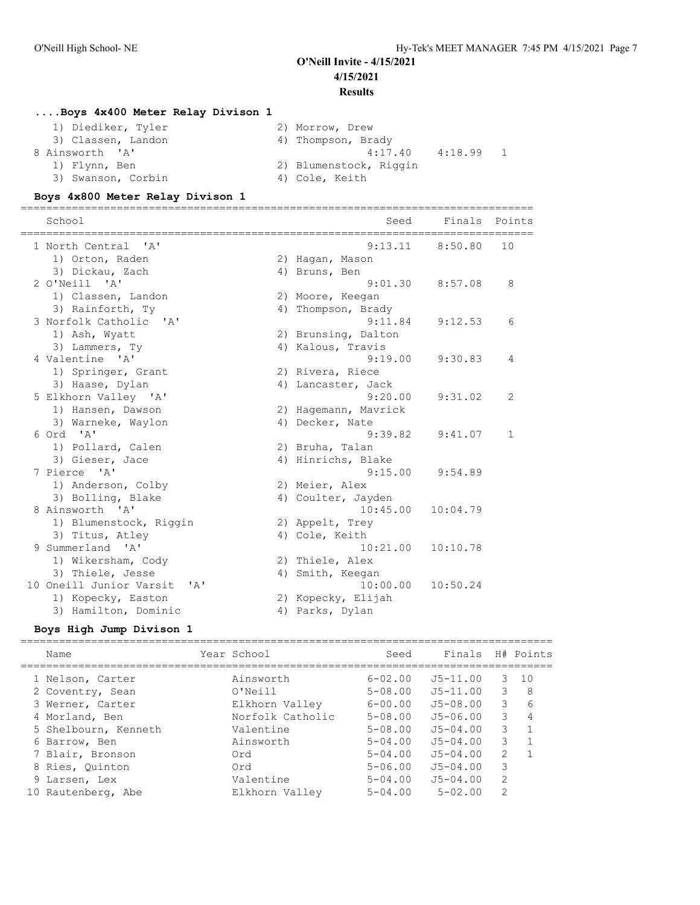#### **....Boys 4x400 Meter Relay Divison 1**

| 1) Diediker, Tyler | 2) Morrow, Drew          |
|--------------------|--------------------------|
| 3) Classen, Landon | 4) Thompson, Brady       |
| 8 Ainsworth 'A'    | -1<br>4:17.40<br>4:18.99 |
| 1) Flynn, Ben      | 2) Blumenstock, Riggin   |
| 3) Swanson, Corbin | 4) Cole, Keith           |

#### **Boys 4x800 Meter Relay Divison 1**

================================================================================ School School School School Seed Finals Points ================================================================================ 1 North Central 'A' 9:13.11 8:50.80 10 1) Orton, Raden 2) Hagan, Mason 3) Dickau, Zach (4) Bruns, Ben 2 O'Neill 'A' 9:01.30 8:57.08 8 1) Classen, Landon 2) Moore, Keegan 3) Rainforth, Ty 1988 (4) Thompson, Brady 3 Norfolk Catholic 'A' 9:11.84 9:12.53 6<br>1) Ash, Wyatt 2) Brunsing, Dalton 1) Ash, Wyatt 2) Brunsing, Dalton 3) Lammers, Ty (4) Kalous, Travis 4 Valentine 'A' 9:19.00 9:30.83 4 1) Springer, Grant 1988 (2) Rivera, Riece 3) Haase, Dylan 1988 (4) Lancaster, Jack 5 Elkhorn Valley 'A' 9:20.00 9:31.02 2 1) Hansen, Dawson 2) Hagemann, Mavrick 3) Warneke, Waylon (4) Decker, Nate 6 Ord 'A' 9:39.82 9:41.07 1 1) Pollard, Calen 2) Bruha, Talan 3) Gieser, Jace 4) Hinrichs, Blake 7 Pierce 'A' 9:15.00 9:54.89 1) Anderson, Colby 2) Meier, Alex 3) Bolling, Blake 4) Coulter, Jayden 8 Ainsworth 'A' 10:45.00 10:04.79 1) Blumenstock, Riggin and 2) Appelt, Trey 3) Titus, Atley (4) Cole, Keith 9 Summerland 'A' 10:21.00 10:10.78 1) Wikersham, Cody (2) Thiele, Alex 3) Thiele, Jesse 1988 Marshall (2008) 4) Smith, Keegan 10 Oneill Junior Varsit 'A' 10:00.00 10:50.24 1) Kopecky, Easton 2) Kopecky, Elijah 3) Hamilton, Dominic (4) Parks, Dylan

#### **Boys High Jump Divison 1**

=================================================================================== Name The Year School Seed Finals H# Points =================================================================================== 1 Nelson, Carter Ainsworth 6-02.00 J5-11.00 3 10 2 Coventry, Sean O'Neill 5-08.00 J5-11.00 3 8 3 Werner, Carter Elkhorn Valley 6-00.00 J5-08.00 3 6 4 Morland, Ben Norfolk Catholic 5-08.00 J5-06.00 3 4 5 Shelbourn, Kenneth Valentine 5-08.00 J5-04.00 3 1 6 Barrow, Ben Ainsworth 5-04.00 J5-04.00 3 1 7 Blair, Bronson Ord 5-04.00 J5-04.00 2 1 8 Ries, Quinton Ord 5-06.00 J5-04.00 3 9 Larsen, Lex Valentine 5-04.00 J5-04.00 2 10 Rautenberg, Abe Elkhorn Valley 5-04.00 5-02.00 2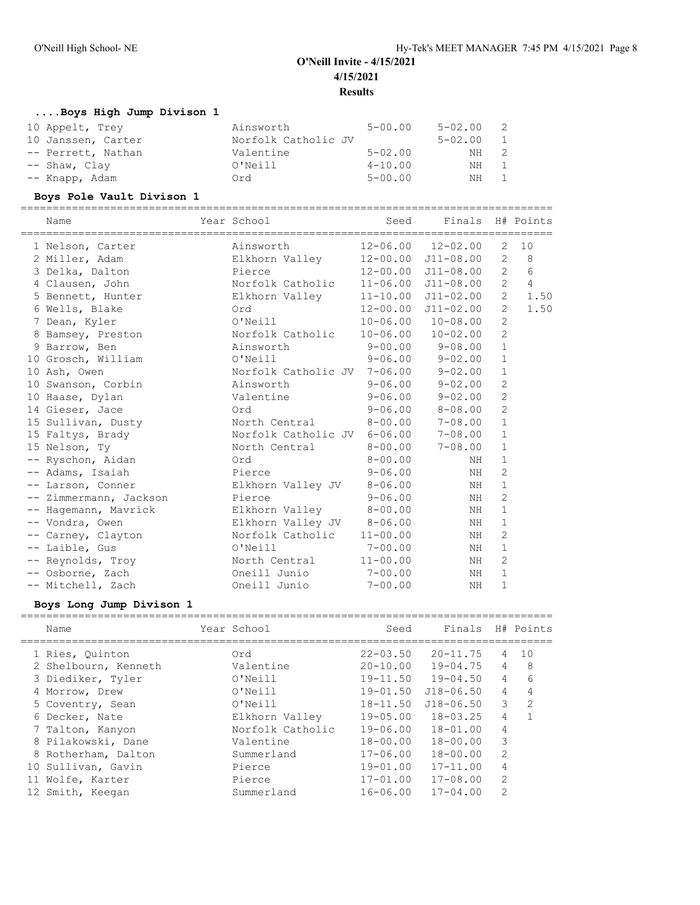===================================================================================

## **....Boys High Jump Divison 1**

| 10 Appelt, Trey    | Ainsworth           | $5 - 00.00$ | $5 - 02.00$ | - 2            |
|--------------------|---------------------|-------------|-------------|----------------|
| 10 Janssen, Carter | Norfolk Catholic JV |             | 5-02.00     | $\overline{1}$ |
| -- Perrett, Nathan | Valentine           | $5 - 02.00$ | NH          | - 2            |
| $--$ Shaw, Clay    | O'Neill             | $4 - 10.00$ | NH 1        |                |
| -- Knapp, Adam     | Ord                 | $5 - 00.00$ | NH 1        |                |

### **Boys Pole Vault Divison 1**

| Name          |                        | Year School                         | Seed         | Finals H# Points           |                |                |
|---------------|------------------------|-------------------------------------|--------------|----------------------------|----------------|----------------|
|               | 1 Nelson, Carter       | Ainsworth                           |              | $12 - 06.00$ $12 - 02.00$  | $\overline{2}$ | 10             |
|               | 2 Miller, Adam         | Elkhorn Valley                      |              | $12-00.00$ $J11-08.00$     | $\overline{2}$ | - 8            |
|               | 3 Delka, Dalton        | Pierce                              |              | $12 - 00.00$ $J11 - 08.00$ | $\overline{2}$ | 6              |
|               | 4 Clausen, John        | Norfolk Catholic                    |              | $11 - 06.00$ $J11 - 08.00$ | $\overline{2}$ | $\overline{4}$ |
|               | 5 Bennett, Hunter      | Elkhorn Valley                      |              | $11 - 10.00$ $J11 - 02.00$ | $\overline{2}$ | 1.50           |
|               | 6 Wells, Blake         | Ord                                 |              | $12 - 00.00$ $J11 - 02.00$ | $\overline{2}$ | 1.50           |
|               | 7 Dean, Kyler          | O'Neill                             |              | $10 - 06.00$ $10 - 08.00$  | $\overline{c}$ |                |
|               | 8 Bamsey, Preston      | Norfolk Catholic                    |              | $10 - 06.00$ $10 - 02.00$  | $\overline{c}$ |                |
|               | 9 Barrow, Ben          | Ainsworth                           | $9 - 00.00$  | $9 - 08.00$                | $\mathbf{1}$   |                |
|               | 10 Grosch, William     | O'Neill                             |              | $9 - 06.00$ $9 - 02.00$    | $\mathbf{1}$   |                |
| 10 Ash, Owen  |                        | Norfolk Catholic JV 7-06.00 9-02.00 |              |                            | $\mathbf{1}$   |                |
|               | 10 Swanson, Corbin     | Ainsworth                           |              | $9 - 06.00$ $9 - 02.00$    | $\overline{c}$ |                |
|               | 10 Haase, Dylan        | Valentine                           | $9 - 06.00$  | $9 - 02.00$                | $\overline{c}$ |                |
|               | 14 Gieser, Jace        | Ord                                 |              | $9 - 06.00$ $8 - 08.00$    | $\overline{c}$ |                |
|               | 15 Sullivan, Dusty     | North Central 8-00.00 7-08.00       |              |                            | $\mathbf{1}$   |                |
|               | 15 Faltys, Brady       | Norfolk Catholic JV 6-06.00 7-08.00 |              |                            | $\mathbf{1}$   |                |
| 15 Nelson, Ty |                        | North Central                       | $8 - 00.00$  | $7 - 08.00$                | $\mathbf{1}$   |                |
|               | -- Ryschon, Aidan      | Ord                                 | $8 - 00.00$  | NH                         | $\mathbf{1}$   |                |
|               | -- Adams, Isaiah       | Pierce                              | $9 - 06.00$  | ΝH                         | $\overline{2}$ |                |
|               | -- Larson, Conner      | Elkhorn Valley JV                   | $8 - 06.00$  | NH                         | $\mathbf{1}$   |                |
|               | -- Zimmermann, Jackson | Pierce                              | $9 - 06.00$  | ΝH                         | $\overline{2}$ |                |
|               | -- Hagemann, Mavrick   | Elkhorn Valley                      | $8 - 00.00$  | NH                         | $\mathbf 1$    |                |
|               | -- Vondra, Owen        | Elkhorn Valley JV 8-06.00           |              | NH                         | $\mathbf{1}$   |                |
|               | -- Carney, Clayton     | Norfolk Catholic                    | $11 - 00.00$ | NH                         | $\overline{2}$ |                |
|               | -- Laible, Gus         | O'Neill                             | $7 - 00.00$  | NH                         | 1              |                |
|               | -- Reynolds, Troy      | North Central                       | $11 - 00.00$ | ΝH                         | 2              |                |
|               | -- Osborne, Zach       | Oneill Junio                        | $7 - 00.00$  | NH                         | $\mathbf{1}$   |                |
|               | -- Mitchell, Zach      | Oneill Junio                        | $7 - 00.00$  | NH                         | $\mathbf{1}$   |                |

### **Boys Long Jump Divison 1**

| Name                 | Year School      | Seed         | Finals                |                | H# Points     |
|----------------------|------------------|--------------|-----------------------|----------------|---------------|
| 1 Ries, Quinton      | Ord              | $22 - 03.50$ | $20 - 11.75$          | 4              | 1 O           |
| 2 Shelbourn, Kenneth | Valentine        | $20 - 10.00$ | 19-04.75              | 4              | 8             |
| 3 Diediker, Tyler    | O'Neill          |              | $19-11.50$ $19-04.50$ | $\overline{4}$ | 6             |
| 4 Morrow, Drew       | O'Neill          | $19 - 01.50$ | $J18 - 06.50$         | 4              | 4             |
| 5 Coventry, Sean     | O'Neill          | $18 - 11.50$ | $J18 - 06.50$         | $\mathcal{E}$  | $\mathcal{L}$ |
| 6 Decker, Nate       | Elkhorn Valley   | $19 - 05.00$ | $18 - 03.25$          | 4              |               |
| 7 Talton, Kanyon     | Norfolk Catholic | $19 - 06.00$ | $18 - 01.00$          | 4              |               |
| 8 Pilakowski, Dane   | Valentine        | $18 - 00.00$ | $18 - 00.00$          | 3              |               |
| 8 Rotherham, Dalton  | Summerland       | $17 - 06.00$ | $18 - 00.00$          | 2              |               |
| 10 Sullivan, Gavin   | Pierce           | $19 - 01.00$ | $17 - 11.00$          | 4              |               |
| 11 Wolfe, Karter     | Pierce           | $17 - 01.00$ | $17 - 08.00$          | 2              |               |
| 12 Smith, Keegan     | Summerland       | $16 - 06.00$ | $17 - 04.00$          | $\mathfrak{L}$ |               |
|                      |                  |              |                       |                |               |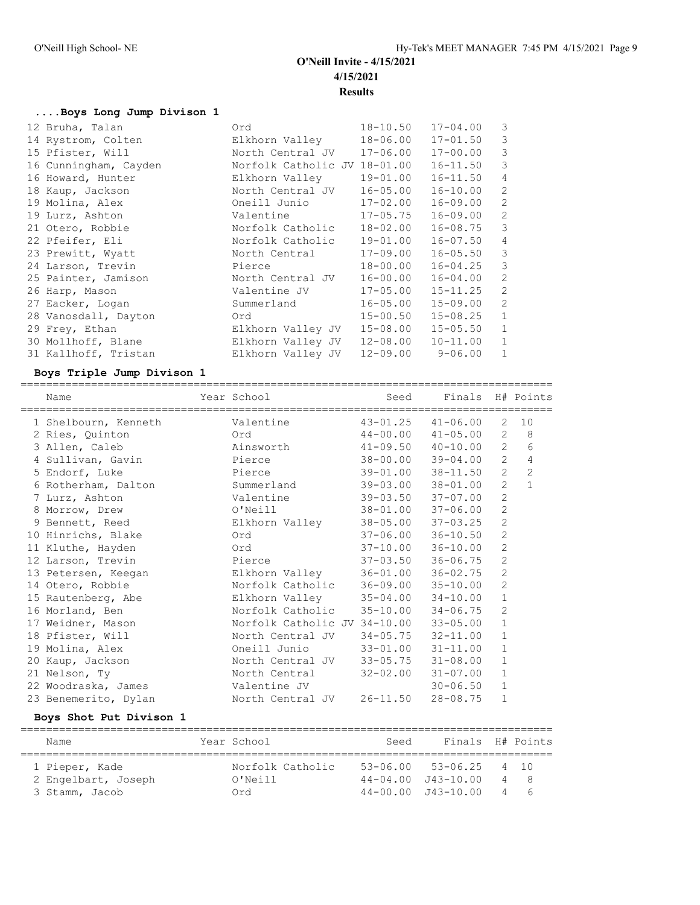## **....Boys Long Jump Divison 1**

| 12 Bruha, Talan       | Ord                          | $18 - 10.50$ | $17 - 04.00$ | 3              |
|-----------------------|------------------------------|--------------|--------------|----------------|
| 14 Rystrom, Colten    | Elkhorn Valley               | $18 - 06.00$ | $17 - 01.50$ | 3              |
| 15 Pfister, Will      | North Central JV             | $17 - 06.00$ | $17 - 00.00$ | 3              |
| 16 Cunningham, Cayden | Norfolk Catholic JV 18-01.00 |              | $16 - 11.50$ | 3              |
| 16 Howard, Hunter     | Elkhorn Valley               | $19 - 01.00$ | $16 - 11.50$ | $\overline{4}$ |
| 18 Kaup, Jackson      | North Central JV             | $16 - 05.00$ | $16 - 10.00$ | 2              |
| 19 Molina, Alex       | Oneill Junio                 | $17 - 02.00$ | $16 - 09.00$ | 2              |
| 19 Lurz, Ashton       | Valentine                    | $17 - 05.75$ | $16 - 09.00$ | 2              |
| 21 Otero, Robbie      | Norfolk Catholic             | $18 - 02.00$ | $16 - 08.75$ | 3              |
| 22 Pfeifer, Eli       | Norfolk Catholic             | 19-01.00     | 16-07.50     | $\overline{4}$ |
| 23 Prewitt, Wyatt     | North Central                | $17 - 09.00$ | $16 - 05.50$ | 3              |
| 24 Larson, Trevin     | Pierce                       | $18 - 00.00$ | $16 - 04.25$ | 3              |
| 25 Painter, Jamison   | North Central JV             | $16 - 00.00$ | $16 - 04.00$ | 2              |
| 26 Harp, Mason        | Valentine JV                 | $17 - 05.00$ | $15 - 11.25$ | $\overline{2}$ |
| 27 Eacker, Logan      | Summerland                   | $16 - 05.00$ | $15 - 09.00$ | 2              |
| 28 Vanosdall, Dayton  | Ord                          | $15 - 00.50$ | $15 - 08.25$ | $\mathbf{1}$   |
| 29 Frey, Ethan        | Elkhorn Valley JV            | $15 - 08.00$ | $15 - 05.50$ | 1              |
| 30 Mollhoff, Blane    | Elkhorn Valley JV            | $12 - 08.00$ | $10 - 11.00$ | $\mathbf{1}$   |
| 31 Kallhoff, Tristan  | Elkhorn Valley JV            | $12 - 09.00$ | $9 - 06.00$  | $\mathbf{1}$   |

### **Boys Triple Jump Divison 1**

| Name                 |         | Year School                        | Seed                      | Finals H# Points          |                |              |
|----------------------|---------|------------------------------------|---------------------------|---------------------------|----------------|--------------|
| 1 Shelbourn, Kenneth |         | Valentine                          | $43 - 01.25$              | $41 - 06.00$              | 2              | 10           |
| 2 Ries, Quinton      | ord Ord |                                    |                           | $44 - 00.00$ $41 - 05.00$ | $\overline{2}$ | $_{\rm 8}$   |
| 3 Allen, Caleb       |         | Ainsworth                          | $41 - 09.50$              | $40 - 10.00$              | $\overline{2}$ | 6            |
| 4 Sullivan, Gavin    |         | Pierce                             |                           | 38-00.00 39-04.00         | $\overline{2}$ | 4            |
| 5 Endorf, Luke       |         | Pierce                             | 39-01.00                  | $38 - 11.50$              | $\overline{2}$ | $\mathbf{2}$ |
| 6 Rotherham, Dalton  |         | Summerland                         |                           | 39-03.00 38-01.00         | $\overline{2}$ | $\mathbf{1}$ |
| 7 Lurz, Ashton       |         | Valentine                          | $39 - 03.50$              | $37 - 07.00$              | $\overline{2}$ |              |
| 8 Morrow, Drew       |         | O'Neill                            | 38-01.00 37-06.00         |                           | $\overline{2}$ |              |
| 9 Bennett, Reed      |         | Elkhorn Valley                     | $38 - 05.00$              | $37 - 03.25$              | $\overline{2}$ |              |
| 10 Hinrichs, Blake   |         | Ord                                | $37 - 06.00$ $36 - 10.50$ |                           | $\overline{2}$ |              |
| 11 Kluthe, Hayden    |         | Ord                                | $37 - 10.00$              | $36 - 10.00$              | 2              |              |
| 12 Larson, Trevin    |         | Pierce                             | $37 - 03.50$ $36 - 06.75$ |                           | $\mathbf{2}$   |              |
| 13 Petersen, Keegan  |         | Elkhorn Valley                     | $36 - 01.00$              | $36 - 02.75$              | $\overline{c}$ |              |
| 14 Otero, Robbie     |         | Norfolk Catholic 36-09.00 35-10.00 |                           |                           | $\mathbf{2}$   |              |
| 15 Rautenberg, Abe   |         | Elkhorn Valley 35-04.00 34-10.00   |                           |                           | $\mathbf{1}$   |              |
| 16 Morland, Ben      |         | Norfolk Catholic 35-10.00 34-06.75 |                           |                           | $\overline{2}$ |              |
| 17 Weidner, Mason    |         | Norfolk Catholic JV 34-10.00       |                           | $33 - 05.00$              | $\mathbf{1}$   |              |
| 18 Pfister, Will     |         | North Central JV 34-05.75 32-11.00 |                           |                           | $\mathbf{1}$   |              |
| 19 Molina, Alex      |         | Oneill Junio                       |                           | $33 - 01.00$ $31 - 11.00$ | $\mathbf{1}$   |              |
| 20 Kaup, Jackson     |         | North Central JV 33-05.75 31-08.00 |                           |                           | $\mathbf{1}$   |              |
| 21 Nelson, Ty        |         | North Central                      | 32-02.00                  | $31 - 07.00$              | $\mathbf{1}$   |              |
| 22 Woodraska, James  |         | Valentine JV                       |                           | $30 - 06.50$              | $\mathbf{1}$   |              |
| 23 Benemerito, Dylan |         | North Central JV                   | $26 - 11.50$              | $28 - 08.75$              | $\mathbf{1}$   |              |

### **Boys Shot Put Divison 1**

| Name                | Year School      | Seed | Finals H# Points           |      |
|---------------------|------------------|------|----------------------------|------|
| 1 Pieper, Kade      | Norfolk Catholic |      | $53 - 06.00$ $53 - 06.25$  | 4 10 |
| 2 Engelbart, Joseph | O'Neill          |      | $44 - 04.00$ $J43 - 10.00$ | 4 8  |
| 3 Stamm, Jacob      | ∩rd              |      | $44 - 00.00$ $143 - 10.00$ | 46   |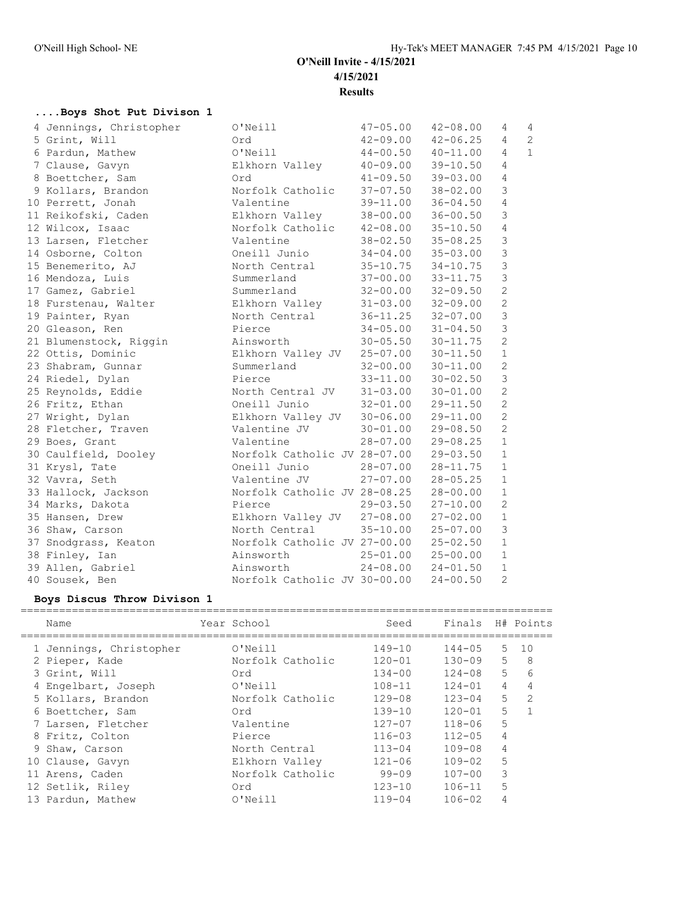## **....Boys Shot Put Divison 1**

| 4 Jennings, Christopher | O'Neill                               | $47 - 05.00$              | $42 - 08.00$ | 4              | 4              |
|-------------------------|---------------------------------------|---------------------------|--------------|----------------|----------------|
| 5 Grint, Will           | Ord                                   | $42 - 09.00$ $42 - 06.25$ |              | 4              | $\overline{c}$ |
| 6 Pardun, Mathew        | O'Neill                               | $44 - 00.50$ $40 - 11.00$ |              | $\overline{4}$ | $\mathbf{1}$   |
| 7 Clause, Gavyn         | Elkhorn Valley                        | $40 - 09.00$ $39 - 10.50$ |              | $\overline{4}$ |                |
| 8 Boettcher, Sam        | Ord                                   | $41 - 09.50$ $39 - 03.00$ |              | $\overline{4}$ |                |
| 9 Kollars, Brandon      | Norfolk Catholic                      | $37 - 07.50$              | $38 - 02.00$ | 3              |                |
| 10 Perrett, Jonah       | Valentine                             | 39-11.00                  | $36 - 04.50$ | $\overline{4}$ |                |
| 11 Reikofski, Caden     | Elkhorn Valley                        | 38-00.00                  | $36 - 00.50$ | 3              |                |
| 12 Wilcox, Isaac        | Norfolk Catholic                      | $42 - 08.00$              | $35 - 10.50$ | $\sqrt{4}$     |                |
| 13 Larsen, Fletcher     | Valentine                             | $38 - 02.50$              | $35 - 08.25$ | $\mathfrak{Z}$ |                |
| 14 Osborne, Colton      | Oneill Junio                          | $34 - 04.00$              | $35 - 03.00$ | $\mathfrak{Z}$ |                |
| 15 Benemerito, AJ       | North Central                         | $35 - 10.75$              | $34 - 10.75$ | $\mathfrak{Z}$ |                |
| 16 Mendoza, Luis        | Summerland                            | $37 - 00.00$ $33 - 11.75$ |              | $\mathfrak{Z}$ |                |
| 17 Gamez, Gabriel       | Summerland                            | $32 - 00.00$              | $32 - 09.50$ | $\overline{c}$ |                |
| 18 Furstenau, Walter    | Elkhorn Valley                        | $31 - 03.00$              | $32 - 09.00$ | $\overline{c}$ |                |
| 19 Painter, Ryan        | North Central                         | $36 - 11.25$              | $32 - 07.00$ | $\mathfrak{Z}$ |                |
| 20 Gleason, Ren         | Pierce                                | $34 - 05.00$ $31 - 04.50$ |              | $\mathfrak{Z}$ |                |
| 21 Blumenstock, Riggin  | Ainsworth                             | $30 - 05.50$ $30 - 11.75$ |              | $\overline{c}$ |                |
| 22 Ottis, Dominic       | Elkhorn Valley JV 25-07.00 30-11.50   |                           |              | $\mathbf{1}$   |                |
| 23 Shabram, Gunnar      | Summerland                            | $32 - 00.00$ $30 - 11.00$ |              | $\overline{2}$ |                |
| 24 Riedel, Dylan        | Pierce                                | $33 - 11.00$ $30 - 02.50$ |              | $\mathfrak{Z}$ |                |
| 25 Reynolds, Eddie      | North Central JV 31-03.00             |                           | $30 - 01.00$ | $\mathbf{2}$   |                |
| 26 Fritz, Ethan         | Oneill Junio 32-01.00 29-11.50        |                           |              | 2              |                |
| 27 Wright, Dylan        | Elkhorn Valley JV 30-06.00            |                           | $29 - 11.00$ | $\overline{2}$ |                |
| 28 Fletcher, Traven     | Valentine JV                          | $30 - 01.00$              | $29 - 08.50$ | 2              |                |
| 29 Boes, Grant          | Valentine                             | $28 - 07.00$              | $29 - 08.25$ | $\mathbf{1}$   |                |
| 30 Caulfield, Dooley    | Norfolk Catholic JV 28-07.00          |                           | $29 - 03.50$ | $\mathbf{1}$   |                |
| 31 Krysl, Tate          | Oneill Junio                          | $28 - 07.00$              | $28 - 11.75$ | $\mathbf{1}$   |                |
| 32 Vavra, Seth          | Valentine JV                          | $27 - 07.00$              | $28 - 05.25$ | $\mathbf{1}$   |                |
| 33 Hallock, Jackson     | Norfolk Catholic JV 28-08.25          |                           | $28 - 00.00$ | $\mathbf{1}$   |                |
| 34 Marks, Dakota        | Pierce                                | $29 - 03.50$              | $27 - 10.00$ | $\mathbf{2}$   |                |
| 35 Hansen, Drew         | Elkhorn Valley JV 27-08.00            |                           | $27 - 02.00$ | $\mathbf{1}$   |                |
| 36 Shaw, Carson         | North Central                         | $35 - 10.00$ $25 - 07.00$ |              | 3              |                |
| 37 Snodgrass, Keaton    | Norfolk Catholic JV 27-00.00 25-02.50 |                           |              | $\mathbf{1}$   |                |
| 38 Finley, Ian          | Ainsworth                             | $25 - 01.00$ $25 - 00.00$ |              | $\mathbf{1}$   |                |
| 39 Allen, Gabriel       | Ainsworth                             | $24 - 08.00$ $24 - 01.50$ |              | $\mathbf{1}$   |                |
| 40 Sousek, Ben          | Norfolk Catholic JV 30-00.00          |                           | $24 - 00.50$ | $\overline{2}$ |                |

## **Boys Discus Throw Divison 1**

| Name                    | Year School      | Seed       |            |                | Finals H# Points |
|-------------------------|------------------|------------|------------|----------------|------------------|
| 1 Jennings, Christopher | O'Neill          | $149 - 10$ | $144 - 05$ | $5 -$          | 10               |
| 2 Pieper, Kade          | Norfolk Catholic | $120 - 01$ | $130 - 09$ | 5              | 8                |
| 3 Grint, Will           | Ord              | $134 - 00$ | $124 - 08$ | 5              | 6                |
| 4 Engelbart, Joseph     | O'Neill          | $108 - 11$ | $124 - 01$ | 4              | 4                |
| 5 Kollars, Brandon      | Norfolk Catholic | $129 - 08$ | $123 - 04$ | 5              | $\mathcal{L}$    |
| 6 Boettcher, Sam        | Ord              | $139 - 10$ | $120 - 01$ | 5.             |                  |
| 7 Larsen, Fletcher      | Valentine        | $127 - 07$ | $118 - 06$ | 5              |                  |
| 8 Fritz, Colton         | Pierce           | $116 - 03$ | $112 - 05$ | $\overline{4}$ |                  |
| 9 Shaw, Carson          | North Central    | $113 - 04$ | $109 - 08$ | 4              |                  |
| 10 Clause, Gavyn        | Elkhorn Valley   | $121 - 06$ | $109 - 02$ | 5              |                  |
| 11 Arens, Caden         | Norfolk Catholic | 99-09      | $107 - 00$ | 3              |                  |
| 12 Setlik, Riley        | Ord              | $123 - 10$ | $106 - 11$ | 5              |                  |
| 13 Pardun, Mathew       | O'Neill          | $119 - 04$ | $106 - 02$ | 4              |                  |
|                         |                  |            |            |                |                  |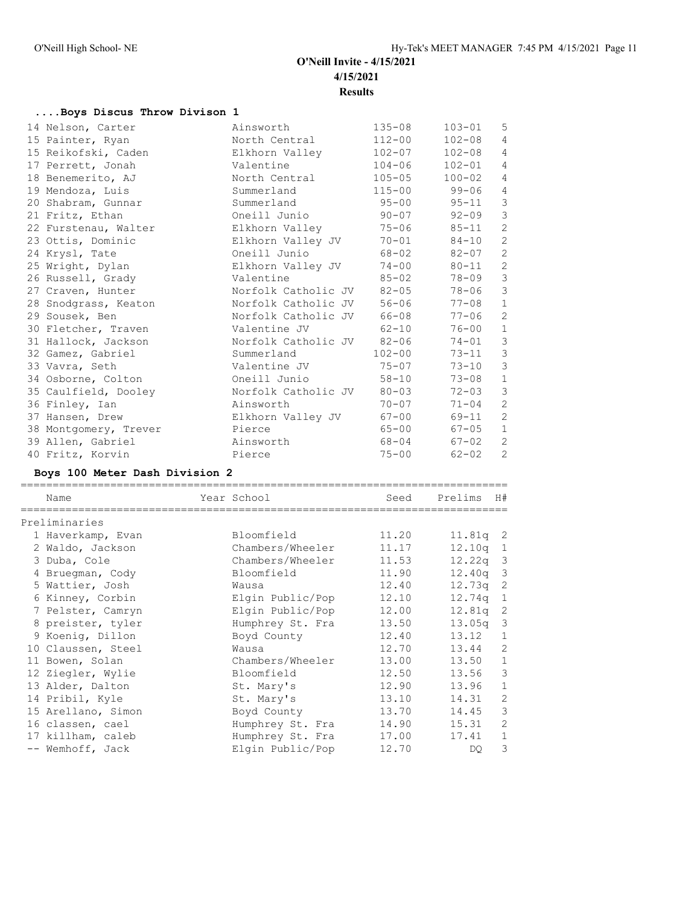## **....Boys Discus Throw Divison 1**

| 14 Nelson, Carter     | Ainsworth                 | $135 - 08$ | $103 - 01$   | 5                       |
|-----------------------|---------------------------|------------|--------------|-------------------------|
| 15 Painter, Ryan      | North Central             | $112 - 00$ | $102 - 08$   | $\overline{4}$          |
| 15 Reikofski, Caden   | Elkhorn Valley            | $102 - 07$ | $102 - 08$   | $\overline{4}$          |
| 17 Perrett, Jonah     | Valentine                 | $104 - 06$ | $102 - 01$   | $\overline{4}$          |
| 18 Benemerito, AJ     | North Central             | $105 - 05$ | $100 - 02$   | 4                       |
| 19 Mendoza, Luis      | Summerland                |            | 115-00 99-06 | $\overline{4}$          |
| 20 Shabram, Gunnar    | Summerland                | $95 - 00$  | $95 - 11$    | $\mathcal{S}$           |
| 21 Fritz, Ethan       | Oneill Junio              | $90 - 07$  | $92 - 09$    | $\mathcal{S}$           |
| 22 Furstenau, Walter  | Elkhorn Valley            | $75 - 06$  | $85 - 11$    | $\mathbf{2}$            |
| 23 Ottis, Dominic     | Elkhorn Valley JV         | $70 - 01$  | $84 - 10$    | $\overline{c}$          |
| 24 Krysl, Tate        | Oneill Junio              | $68 - 02$  | $82 - 07$    | $\mathbf{2}$            |
| 25 Wright, Dylan      | Elkhorn Valley JV         | $74 - 00$  | $80 - 11$    | $\overline{c}$          |
| 26 Russell, Grady     | Valentine                 | $85 - 02$  | 78-09        | $\mathcal{S}$           |
| 27 Craven, Hunter     | Norfolk Catholic JV 82-05 |            | 78-06        | $\overline{\mathbf{3}}$ |
| 28 Snodgrass, Keaton  | Norfolk Catholic JV       | $56 - 06$  | $77 - 08$    | $1\,$                   |
| 29 Sousek, Ben        | Norfolk Catholic JV 66-08 |            | $77 - 06$    | $\overline{c}$          |
| 30 Fletcher, Traven   | Valentine JV              | $62 - 10$  | 76-00        | $1\,$                   |
| 31 Hallock, Jackson   | Norfolk Catholic JV 82-06 |            | $74 - 01$    | $\mathcal{S}$           |
| 32 Gamez, Gabriel     | Summerland                | $102 - 00$ | $73 - 11$ 3  |                         |
| 33 Vavra, Seth        | Valentine JV              | $75 - 07$  | $73 - 10$    | $\mathcal{S}$           |
| 34 Osborne, Colton    | Oneill Junio              | $58 - 10$  | $73 - 08$    | $1\,$                   |
| 35 Caulfield, Dooley  | Norfolk Catholic JV 80-03 |            | $72 - 03$    | $\mathcal{S}$           |
| 36 Finley, Ian        | Ainsworth                 | $70 - 07$  | $71 - 04$    | $\overline{c}$          |
| 37 Hansen, Drew       | Elkhorn Valley JV         | $67 - 00$  | 69-11        | $\mathbf{2}$            |
| 38 Montgomery, Trever | Pierce                    | $65 - 00$  | $67 - 05$    | $\,1\,$                 |
| 39 Allen, Gabriel     | Ainsworth                 | 68-04      | 67-02        | 2                       |
| 40 Fritz, Korvin      | Pierce                    | $75 - 00$  | $62 - 02$    | $\mathbf{2}$            |

#### **Boys 100 Meter Dash Division 2**

============================================================================

| Name               | Year School      | Seed  | Prelims    | H#             |
|--------------------|------------------|-------|------------|----------------|
| Preliminaries      |                  |       |            |                |
| 1 Haverkamp, Evan  | Bloomfield       | 11.20 | $11.81q$ 2 |                |
| 2 Waldo, Jackson   | Chambers/Wheeler | 11.17 | $12.10q$ 1 |                |
| 3 Duba, Cole       | Chambers/Wheeler | 11.53 | $12.22q$ 3 |                |
| 4 Bruegman, Cody   | Bloomfield       | 11.90 | $12.40q$ 3 |                |
| 5 Wattier, Josh    | Wausa            | 12.40 | $12.73q$ 2 |                |
| 6 Kinney, Corbin   | Elgin Public/Pop | 12.10 | $12.74q$ 1 |                |
| 7 Pelster, Camryn  | Elgin Public/Pop | 12.00 | 12.81a     | -2             |
| 8 preister, tyler  | Humphrey St. Fra | 13.50 | $13.05q$ 3 |                |
| 9 Koenig, Dillon   | Boyd County      | 12.40 | 13.12      | $\mathbf{1}$   |
| 10 Claussen, Steel | Wausa            | 12.70 | 13.44      | $\overline{2}$ |
| 11 Bowen, Solan    | Chambers/Wheeler | 13.00 | 13.50      | $1\,$          |
| 12 Ziegler, Wylie  | Bloomfield       | 12.50 | 13.56      | 3              |
| 13 Alder, Dalton   | St. Mary's       | 12.90 | 13.96      | $1\,$          |
| 14 Pribil, Kyle    | St. Mary's       | 13.10 | 14.31      | $\overline{c}$ |
| 15 Arellano, Simon | Boyd County      | 13.70 | 14.45      | 3              |
| 16 classen, cael   | Humphrey St. Fra | 14.90 | 15.31      | $\overline{c}$ |
| 17 killham, caleb  | Humphrey St. Fra | 17.00 | 17.41      | $\mathbf{1}$   |
| -- Wemhoff, Jack   | Elgin Public/Pop | 12.70 | DQ.        | $\mathcal{S}$  |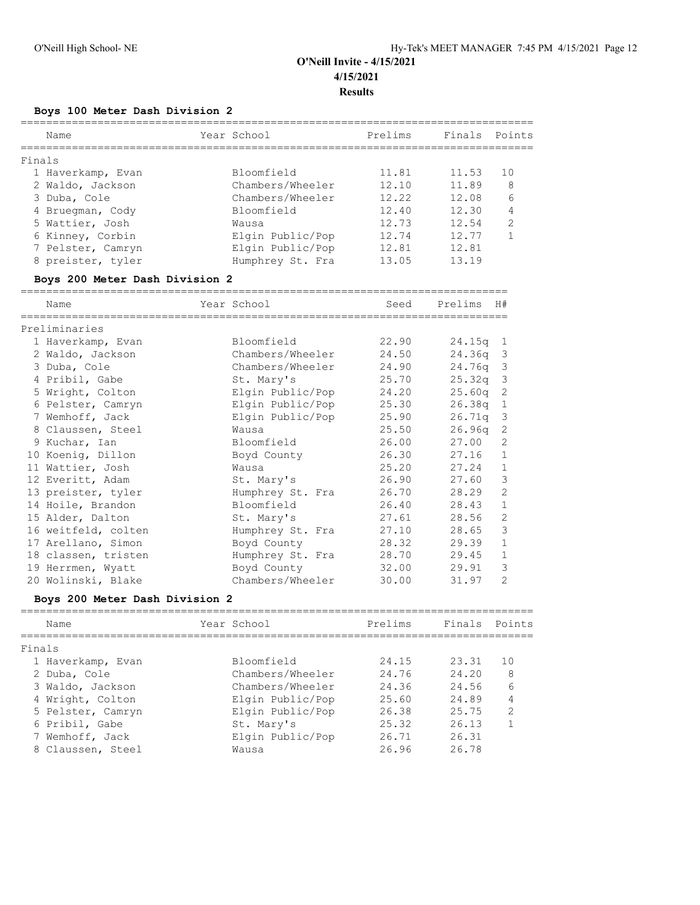## **Boys 100 Meter Dash Division 2**

| Name                           | Year School      | Prelims | Finals Points |                |
|--------------------------------|------------------|---------|---------------|----------------|
| Finals                         |                  |         |               |                |
| 1 Haverkamp, Evan              | Bloomfield       | 11.81   | 11.53         | 10             |
| 2 Waldo, Jackson               | Chambers/Wheeler | 12.10   | 11.89         | 8              |
| 3 Duba, Cole                   | Chambers/Wheeler | 12.22   | 12.08         | 6              |
| 4 Bruegman, Cody               | Bloomfield       | 12.40   | 12.30         | 4              |
| 5 Wattier, Josh                | Wausa            | 12.73   | 12.54         | $\overline{2}$ |
| 6 Kinney, Corbin               | Elgin Public/Pop | 12.74   | 12.77         | 1              |
| 7 Pelster, Camryn              | Elgin Public/Pop | 12.81   | 12.81         |                |
| 8 preister, tyler              | Humphrey St. Fra | 13.05   | 13.19         |                |
| Boys 200 Meter Dash Division 2 |                  |         |               |                |
| Name                           | Year School      | Seed    | Prelims       | H#             |
| Preliminaries                  |                  |         |               |                |
| 1 Haverkamp, Evan              | Bloomfield       | 22.90   | $24.15q$ 1    |                |
| 2 Waldo, Jackson               | Chambers/Wheeler | 24.50   | 24.36q 3      |                |
| 3 Duba, Cole                   | Chambers/Wheeler | 24.90   | 24.76g        | $\overline{3}$ |
| 4 Pribil, Gabe                 | St. Mary's       | 25.70   | 25.32q        | $\mathbf{3}$   |
| 5 Wright, Colton               | Elgin Public/Pop | 24.20   | 25.60q        | 2              |
| 6 Pelster, Camryn              | Elgin Public/Pop | 25.30   | 26.38q        | 1              |
| 7 Wemhoff, Jack                | Elgin Public/Pop | 25.90   | 26.71q        | -3             |

| 7 Wemhoff, Jack     | Elgin Public/Pop | 25.90 | $26.71q$ 3 |                         |
|---------------------|------------------|-------|------------|-------------------------|
| 8 Claussen, Steel   | Wausa            | 25.50 | 26.96q     | $\overline{2}$          |
| 9 Kuchar, Ian       | Bloomfield       | 26.00 | 27.00      | $\overline{2}$          |
| 10 Koenig, Dillon   | Boyd County      | 26.30 | 27.16      | $\overline{1}$          |
| 11 Wattier, Josh    | Wausa            | 25.20 | 27.24      | $\overline{1}$          |
| 12 Everitt, Adam    | St. Mary's       | 26.90 | 27.60      | $\overline{\mathbf{3}}$ |
| 13 preister, tyler  | Humphrey St. Fra | 26.70 | 28.29      | 2                       |
| 14 Hoile, Brandon   | Bloomfield       | 26.40 | 28.43      | 1                       |
| 15 Alder, Dalton    | St. Mary's       | 27.61 | 28.56      | $\overline{2}$          |
| 16 weitfeld, colten | Humphrey St. Fra | 27.10 | 28.65      | $\overline{\mathbf{3}}$ |
| 17 Arellano, Simon  | Boyd County      | 28.32 | 29.39      | $\mathbf{1}$            |
| 18 classen, tristen | Humphrey St. Fra | 28.70 | 29.45      | $\overline{1}$          |
| 19 Herrmen, Wyatt   | Boyd County      | 32.00 | 29.91      | $\overline{\mathbf{3}}$ |
| 20 Wolinski, Blake  | Chambers/Wheeler | 30.00 | 31.97      | 2                       |
|                     |                  |       |            |                         |

### **Boys 200 Meter Dash Division 2**

| Name              | Year School      | Prelims | Finals Points |                |
|-------------------|------------------|---------|---------------|----------------|
| Finals            |                  |         |               |                |
| 1 Haverkamp, Evan | Bloomfield       | 24.15   | 23.31         | 10             |
| 2 Duba, Cole      | Chambers/Wheeler | 24.76   | 24.20         | 8              |
| 3 Waldo, Jackson  | Chambers/Wheeler | 24.36   | 24.56         | 6              |
| 4 Wright, Colton  | Elgin Public/Pop | 25.60   | 24.89         | 4              |
| 5 Pelster, Camryn | Elgin Public/Pop | 26.38   | 25.75         | $\overline{2}$ |
| 6 Pribil, Gabe    | St. Mary's       | 25.32   | 26.13         |                |
| 7 Wemhoff, Jack   | Elgin Public/Pop | 26.71   | 26.31         |                |
| 8 Claussen, Steel | Wausa            | 26.96   | 26.78         |                |
|                   |                  |         |               |                |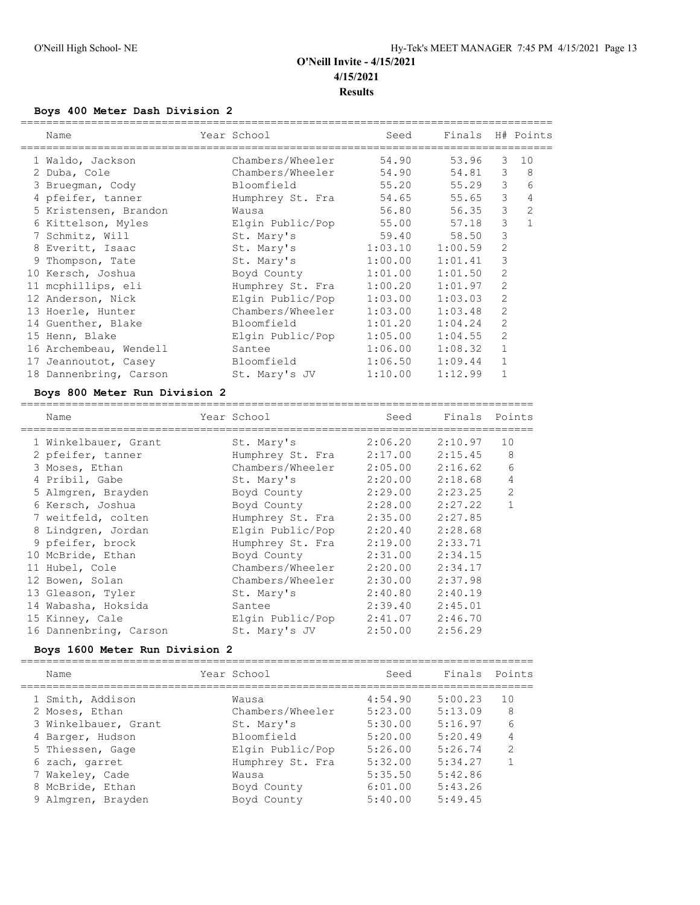## **Boys 400 Meter Dash Division 2**

|  | Name                   | Year School                | Seed    | Finals H# Points |                |              |
|--|------------------------|----------------------------|---------|------------------|----------------|--------------|
|  | 1 Waldo, Jackson       | Chambers/Wheeler           | 54.90   | 53.96            | 3              | 10           |
|  | 2 Duba, Cole           | Chambers/Wheeler           | 54.90   | 54.81            | 3              | 8            |
|  | 3 Bruegman, Cody       | Bloomfield                 | 55.20   | 55.29            | 3              | 6            |
|  | 4 pfeifer, tanner      | Humphrey St. Fra           | 54.65   | 55.65            | 3              | 4            |
|  | 5 Kristensen, Brandon  | Wausa                      | 56.80   | 56.35            | 3              | 2            |
|  | 6 Kittelson, Myles     | Elgin Public/Pop           | 55.00   | 57.18            | 3              | $\mathbf{1}$ |
|  | 7 Schmitz, Will        | St. Mary's                 | 59.40   | 58.50            | 3              |              |
|  | 8 Everitt, Isaac       | St. Mary's 1:03.10 1:00.59 |         |                  | $\overline{2}$ |              |
|  | 9 Thompson, Tate       | St. Mary's                 | 1:00.00 | 1:01.41          | 3              |              |
|  | 10 Kersch, Joshua      | Boyd County                | 1:01.00 | 1:01.50          | $\overline{2}$ |              |
|  | 11 mcphillips, eli     | Humphrey St. Fra 1:00.20   |         | 1:01.97          | 2              |              |
|  | 12 Anderson, Nick      | Elgin Public/Pop 1:03.00   |         | 1:03.03          | 2              |              |
|  | 13 Hoerle, Hunter      | Chambers/Wheeler 1:03.00   |         | 1:03.48          | $\overline{2}$ |              |
|  | 14 Guenther, Blake     | Bloomfield                 | 1:01.20 | 1:04.24          | $\overline{2}$ |              |
|  | 15 Henn, Blake         | Elgin Public/Pop           | 1:05.00 | 1:04.55          | $\overline{2}$ |              |
|  | 16 Archembeau, Wendell | Santee                     | 1:06.00 | 1:08.32          | $\mathbf{1}$   |              |
|  | 17 Jeannoutot, Casey   | Bloomfield                 | 1:06.50 | 1:09.44          | $\mathbf{1}$   |              |
|  | 18 Dannenbring, Carson | St. Mary's JV              | 1:10.00 | 1:12.99          |                |              |
|  |                        |                            |         |                  |                |              |

### **Boys 800 Meter Run Division 2**

| Name |                                                                                                                                                                                                                                                                                                                                            |                  | Seed        | Finals           | Points         |
|------|--------------------------------------------------------------------------------------------------------------------------------------------------------------------------------------------------------------------------------------------------------------------------------------------------------------------------------------------|------------------|-------------|------------------|----------------|
|      |                                                                                                                                                                                                                                                                                                                                            | St. Mary's       | 2:06.20     | 2:10.97          | 10             |
|      |                                                                                                                                                                                                                                                                                                                                            | Humphrey St. Fra | 2:17.00     | 2:15.45          | 8              |
|      |                                                                                                                                                                                                                                                                                                                                            |                  | 2:05.00     | 2:16.62          | 6              |
|      |                                                                                                                                                                                                                                                                                                                                            | St. Mary's       | 2:20.00     | 2:18.68          | 4              |
|      |                                                                                                                                                                                                                                                                                                                                            | Boyd County      | 2:29.00     | 2:23.25          | $\overline{2}$ |
|      |                                                                                                                                                                                                                                                                                                                                            | Boyd County      | 2:28.00     | 2:27.22          | 1              |
|      |                                                                                                                                                                                                                                                                                                                                            | Humphrey St. Fra | 2:35.00     | 2:27.85          |                |
|      |                                                                                                                                                                                                                                                                                                                                            | Elgin Public/Pop | 2:20.40     | 2:28.68          |                |
|      |                                                                                                                                                                                                                                                                                                                                            | Humphrey St. Fra | 2:19.00     | 2:33.71          |                |
|      |                                                                                                                                                                                                                                                                                                                                            | Boyd County      | 2:31.00     | 2:34.15          |                |
|      |                                                                                                                                                                                                                                                                                                                                            | Chambers/Wheeler | 2:20.00     | 2:34.17          |                |
|      |                                                                                                                                                                                                                                                                                                                                            | Chambers/Wheeler | 2:30.00     | 2:37.98          |                |
|      |                                                                                                                                                                                                                                                                                                                                            | St. Mary's       | 2:40.80     | 2:40.19          |                |
|      |                                                                                                                                                                                                                                                                                                                                            | Santee           | 2:39.40     | 2:45.01          |                |
|      |                                                                                                                                                                                                                                                                                                                                            | Elgin Public/Pop | 2:41.07     | 2:46.70          |                |
|      |                                                                                                                                                                                                                                                                                                                                            | St. Mary's JV    | 2:50.00     | 2:56.29          |                |
|      | 1 Winkelbauer, Grant<br>2 pfeifer, tanner<br>3 Moses, Ethan<br>4 Pribil, Gabe<br>5 Almgren, Brayden<br>6 Kersch, Joshua<br>7 weitfeld, colten<br>8 Lindgren, Jordan<br>9 pfeifer, brock<br>10 McBride, Ethan<br>11 Hubel, Cole<br>12 Bowen, Solan<br>13 Gleason, Tyler<br>14 Wabasha, Hoksida<br>15 Kinney, Cale<br>16 Dannenbring, Carson |                  | Year School | Chambers/Wheeler |                |

## **Boys 1600 Meter Run Division 2**

| Name                 | Year School      | Seed    | Finals Points |                |
|----------------------|------------------|---------|---------------|----------------|
| 1 Smith, Addison     | Wausa            | 4:54.90 | 5:00.23       | 10             |
| 2 Moses, Ethan       | Chambers/Wheeler | 5:23.00 | 5:13.09       | 8              |
| 3 Winkelbauer, Grant | St. Mary's       | 5:30.00 | 5:16.97       | 6              |
| 4 Barger, Hudson     | Bloomfield       | 5:20.00 | 5:20.49       | 4              |
| 5 Thiessen, Gage     | Elgin Public/Pop | 5:26.00 | 5:26.74       | $\overline{2}$ |
| 6 zach, garret       | Humphrey St. Fra | 5:32.00 | 5:34.27       |                |
| 7 Wakeley, Cade      | Wausa            | 5:35.50 | 5:42.86       |                |
| 8 McBride, Ethan     | Boyd County      | 6:01.00 | 5:43.26       |                |
| 9 Almgren, Brayden   | Boyd County      | 5:40.00 | 5:49.45       |                |
|                      |                  |         |               |                |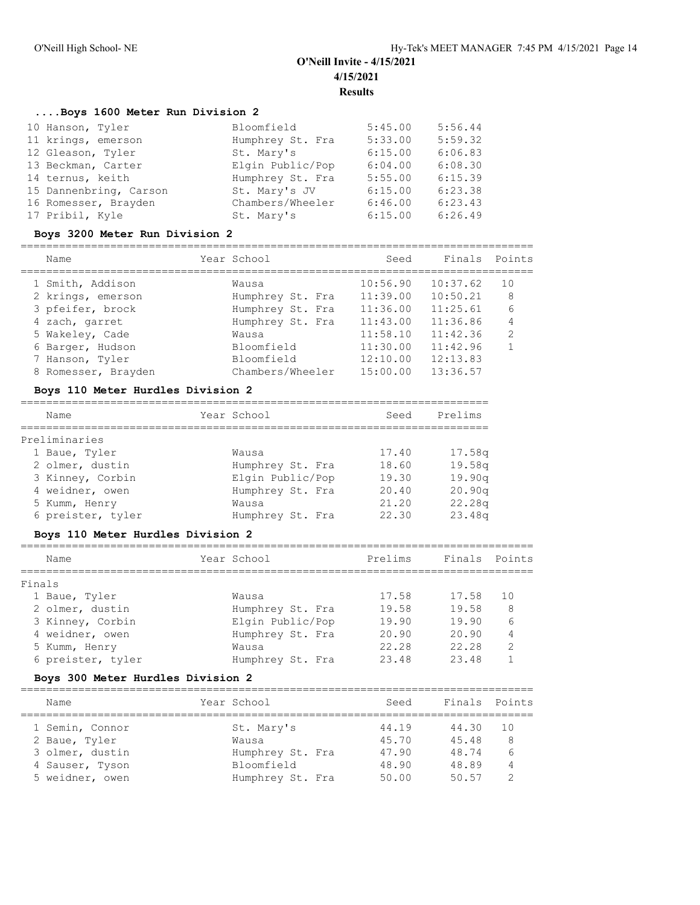### **....Boys 1600 Meter Run Division 2**

| 10 Hanson, Tyler       | Bloomfield       | 5:45.00 | 5:56.44 |
|------------------------|------------------|---------|---------|
| 11 krings, emerson     | Humphrey St. Fra | 5:33.00 | 5:59.32 |
| 12 Gleason, Tyler      | St. Mary's       | 6:15.00 | 6:06.83 |
| 13 Beckman, Carter     | Elgin Public/Pop | 6:04.00 | 6:08.30 |
| 14 ternus, keith       | Humphrey St. Fra | 5:55.00 | 6:15.39 |
| 15 Dannenbring, Carson | St. Mary's JV    | 6:15.00 | 6:23.38 |
| 16 Romesser, Brayden   | Chambers/Wheeler | 6:46.00 | 6:23.43 |
| 17 Pribil, Kyle        | St. Mary's       | 6:15.00 | 6:26.49 |

#### **Boys 3200 Meter Run Division 2**

| Name                | Year School      | Seed     | Finals   | Points         |
|---------------------|------------------|----------|----------|----------------|
|                     |                  |          |          |                |
| 1 Smith, Addison    | Wausa            | 10:56.90 | 10:37.62 | 10             |
| 2 krings, emerson   | Humphrey St. Fra | 11:39.00 | 10:50.21 | 8              |
| 3 pfeifer, brock    | Humphrey St. Fra | 11:36.00 | 11:25.61 | 6              |
| 4 zach, garret      | Humphrey St. Fra | 11:43.00 | 11:36.86 | 4              |
| 5 Wakeley, Cade     | Wausa            | 11:58.10 | 11:42.36 | $\overline{2}$ |
| 6 Barger, Hudson    | Bloomfield       | 11:30.00 | 11:42.96 | $\mathbf{1}$   |
| 7 Hanson, Tyler     | Bloomfield       | 12:10.00 | 12:13.83 |                |
| 8 Romesser, Brayden | Chambers/Wheeler | 15:00.00 | 13:36.57 |                |

#### **Boys 110 Meter Hurdles Division 2**

| Name              | Year School      | Seed  | Prelims            |
|-------------------|------------------|-------|--------------------|
| Preliminaries     |                  |       |                    |
| 1 Baue, Tyler     | Wausa            | 17.40 | 17.58 <sub>q</sub> |
| 2 olmer, dustin   | Humphrey St. Fra | 18.60 | 19.58q             |
| 3 Kinney, Corbin  | Elgin Public/Pop | 19.30 | 19.90q             |
| 4 weidner, owen   | Humphrey St. Fra | 20.40 | 20.90q             |
| 5 Kumm, Henry     | Wausa            | 21.20 | 22.28q             |
| 6 preister, tyler | Humphrey St. Fra | 22.30 | 23.48q             |

#### **Boys 110 Meter Hurdles Division 2**

| Name          |                   | Year School      | Prelims | Finals Points |               |
|---------------|-------------------|------------------|---------|---------------|---------------|
| Finals        |                   |                  |         |               |               |
| 1 Baue, Tyler |                   | Wausa            | 17.58   | 17.58         | 10            |
|               | 2 olmer, dustin   | Humphrey St. Fra | 19.58   | 19.58         | 8             |
|               | 3 Kinney, Corbin  | Elgin Public/Pop | 19.90   | 19.90         | 6             |
|               | 4 weidner, owen   | Humphrey St. Fra | 20.90   | 20.90         | 4             |
| 5 Kumm, Henry |                   | Wausa            | 22.28   | 22.28         | $\mathcal{P}$ |
|               | 6 preister, tyler | Humphrey St. Fra | 23.48   | 23.48         |               |

#### **Boys 300 Meter Hurdles Division 2**

================================================================================ Name **Year School** Seed Finals Points ================================================================================ 1 Semin, Connor St. Mary's 44.19 44.30 10 2 Baue, Tyler Wausa 45.70 45.48 8 3 olmer, dustin Humphrey St. Fra 47.90 48.74 6 4 Sauser, Tyson Bloomfield 48.90 48.89 4 5 weidner, owen Humphrey St. Fra 50.00 50.57 2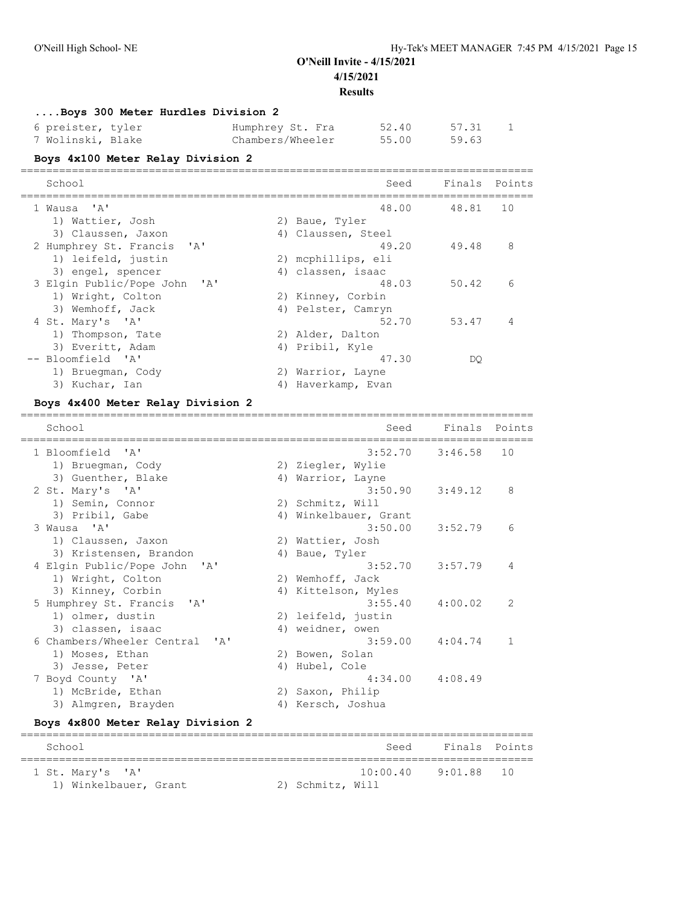## **....Boys 300 Meter Hurdles Division 2**

| 6 preister, tyler | Humphrey St. Fra | 52.40 | 57.31 |
|-------------------|------------------|-------|-------|
| 7 Wolinski, Blake | Chambers/Wheeler | 55.00 | 59.63 |

## **Boys 4x100 Meter Relay Division 2**

| School                       | Seed               | Finals Points |    |
|------------------------------|--------------------|---------------|----|
| 1 Wausa 'A'                  | 48.00              | 48.81         | 10 |
| 1) Wattier, Josh             | 2) Baue, Tyler     |               |    |
| 3) Claussen, Jaxon           | 4) Claussen, Steel |               |    |
| 2 Humphrey St. Francis 'A'   | 49.20              | 49.48         | 8  |
| 1) leifeld, justin           | 2) mcphillips, eli |               |    |
| 3) engel, spencer            | 4) classen, isaac  |               |    |
| 3 Elgin Public/Pope John 'A' | 48.03              | 50.42         | 6  |
| 1) Wright, Colton            | 2) Kinney, Corbin  |               |    |
| 3) Wemhoff, Jack             | 4) Pelster, Camryn |               |    |
| 4 St. Mary's 'A'             | 52.70              | 53.47         | 4  |
| 1) Thompson, Tate            | 2) Alder, Dalton   |               |    |
| 3) Everitt, Adam             | 4) Pribil, Kyle    |               |    |
| -- Bloomfield 'A'            | 47.30              | DO            |    |
| 1) Bruegman, Cody            | 2) Warrior, Layne  |               |    |
| 3) Kuchar, Ian               | 4) Haverkamp, Evan |               |    |

## **Boys 4x400 Meter Relay Division 2**

| School                         |    | Seed                  | Finals Points       |              |
|--------------------------------|----|-----------------------|---------------------|--------------|
| 1 Bloomfield 'A'               |    |                       | $3:52.70$ $3:46.58$ | 10           |
| 1) Bruegman, Cody              |    | 2) Ziegler, Wylie     |                     |              |
| 3) Guenther, Blake             |    | 4) Warrior, Layne     |                     |              |
| 2 St. Mary's 'A'               |    | 3:50.90               | 3:49.12             | 8            |
| 1) Semin, Connor               |    | 2) Schmitz, Will      |                     |              |
| 3) Pribil, Gabe                |    | 4) Winkelbauer, Grant |                     |              |
| 3 Wausa 'A'                    |    |                       | $3:50.00$ $3:52.79$ | 6            |
| 1) Claussen, Jaxon             |    | 2) Wattier, Josh      |                     |              |
| 3) Kristensen, Brandon         |    | 4) Baue, Tyler        |                     |              |
| 4 Elgin Public/Pope John 'A'   |    | 3:52.70               | 3:57.79             | 4            |
| 1) Wright, Colton              |    | 2) Wemhoff, Jack      |                     |              |
| 3) Kinney, Corbin              |    | 4) Kittelson, Myles   |                     |              |
| 5 Humphrey St. Francis 'A'     |    | 3:55.40               | 4:00.02             | 2            |
| 1) olmer, dustin               |    | 2) leifeld, justin    |                     |              |
| 3) classen, isaac              |    | 4) weidner, owen      |                     |              |
| 6 Chambers/Wheeler Central 'A' |    | 3:59.00               | 4:04.74             | $\mathbf{1}$ |
| 1) Moses, Ethan                |    | 2) Bowen, Solan       |                     |              |
| 3) Jesse, Peter                |    | 4) Hubel, Cole        |                     |              |
| 7 Boyd County 'A'              |    | 4:34.00               | 4:08.49             |              |
| 1) McBride, Ethan              |    | 2) Saxon, Philip      |                     |              |
| 3) Almgren, Brayden            | 4) | Kersch, Joshua        |                     |              |
|                                |    |                       |                     |              |

### **Boys 4x800 Meter Relay Division 2**

| School                |                  | Seed     | Finals Points |  |
|-----------------------|------------------|----------|---------------|--|
| 1 St. Mary's 'A'      |                  | 10:00.40 | $9:01.88$ 10  |  |
| 1) Winkelbauer, Grant | 2) Schmitz, Will |          |               |  |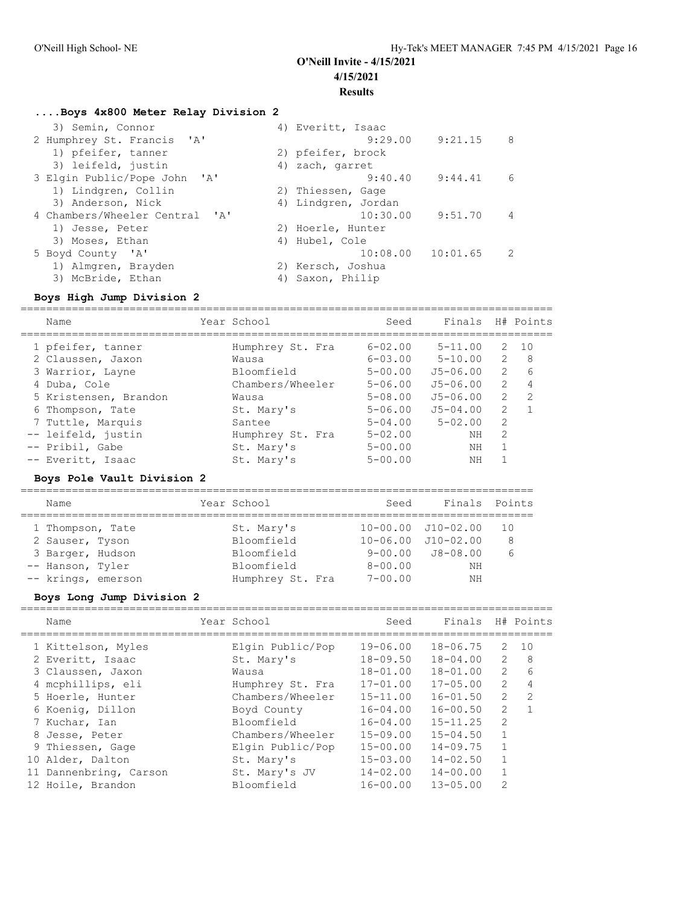## **....Boys 4x800 Meter Relay Division 2**

| 3) Semin, Connor               | 4) Everitt, Isaac    |               |
|--------------------------------|----------------------|---------------|
| 2 Humphrey St. Francis 'A'     | $9:29.00$ $9:21.15$  | 8             |
| 1) pfeifer, tanner             | 2) pfeifer, brock    |               |
| 3) leifeld, justin             | 4) zach, garret      |               |
| 3 Elgin Public/Pope John 'A'   | $9:40.40$ $9:44.41$  | 6             |
| 1) Lindgren, Collin            | 2) Thiessen, Gage    |               |
| 3) Anderson, Nick              | 4) Lindgren, Jordan  |               |
| 4 Chambers/Wheeler Central 'A' | $10:30.00$ $9:51.70$ | 4             |
| 1) Jesse, Peter                | 2) Hoerle, Hunter    |               |
| 3) Moses, Ethan                | 4) Hubel, Cole       |               |
| 5 Boyd County 'A'              | 10:08.00             | 10:01.65<br>2 |
| 1) Almgren, Brayden            | 2) Kersch, Joshua    |               |
| 3) McBride, Ethan              | 4) Saxon, Philip     |               |

# **Boys High Jump Division 2**

| Name                  | Year School      | Seed           | Finals       |                | H# Points      |
|-----------------------|------------------|----------------|--------------|----------------|----------------|
| 1 pfeifer, tanner     | Humphrey St. Fra | $6 - 02.00$    | $5 - 11.00$  | 2              | 10             |
| 2 Claussen, Jaxon     | Wausa            | $6 - 0.3$ , 00 | $5 - 10.00$  | 2              | 8              |
| 3 Warrior, Layne      | Bloomfield       | $5 - 00.00$    | $J5 - 06.00$ | $\mathcal{L}$  | 6              |
| 4 Duba, Cole          | Chambers/Wheeler | $5 - 06.00$    | $J5 - 06.00$ | $\mathcal{L}$  |                |
| 5 Kristensen, Brandon | Wausa            | $5 - 08.00$    | $J5 - 06.00$ | $\overline{2}$ | $\overline{2}$ |
| 6 Thompson, Tate      | St. Mary's       | $5 - 06.00$    | $J5 - 04.00$ | $\mathfrak{L}$ |                |
| 7 Tuttle, Marquis     | Santee           | $5 - 04.00$    | $5 - 02.00$  | $\mathfrak{D}$ |                |
| -- leifeld, justin    | Humphrey St. Fra | $5 - 02.00$    | NΗ           | $\mathcal{L}$  |                |
| -- Pribil, Gabe       | St. Mary's       | $5 - 00.00$    | NΗ           |                |                |
| -- Everitt, Isaac     | St. Mary's       | $5 - 00.00$    | NΗ           |                |                |
|                       |                  |                |              |                |                |

## **Boys Pole Vault Division 2**

| Name                                   | Year School              |                  | Seed                       | Finals Points                                            |          |
|----------------------------------------|--------------------------|------------------|----------------------------|----------------------------------------------------------|----------|
| 1 Thompson, Tate                       | St. Mary's<br>Bloomfield |                  |                            | $10 - 00.00$ $J10 - 02.00$<br>$10 - 06.00$ $J10 - 02.00$ | 1 O<br>8 |
| 2 Sauser, Tyson<br>3 Barger, Hudson    | Bloomfield               |                  |                            | $9 - 00.00$ $J8 - 08.00$                                 | 6        |
| -- Hanson, Tyler<br>-- krings, emerson | Bloomfield               | Humphrey St. Fra | $8 - 00.00$<br>$7 - 00.00$ | NΗ<br>ΝH                                                 |          |

### **Boys Long Jump Division 2**

| Name                                                                                                                                                                            | Year School                                                                                                                                          | Seed                                                                                                                                         | Finals                                                                                                                                       |                                                                                                                                  | H# Points                                         |
|---------------------------------------------------------------------------------------------------------------------------------------------------------------------------------|------------------------------------------------------------------------------------------------------------------------------------------------------|----------------------------------------------------------------------------------------------------------------------------------------------|----------------------------------------------------------------------------------------------------------------------------------------------|----------------------------------------------------------------------------------------------------------------------------------|---------------------------------------------------|
| 1 Kittelson, Myles<br>2 Everitt, Isaac<br>3 Claussen, Jaxon<br>4 mcphillips, eli<br>5 Hoerle, Hunter<br>6 Koenig, Dillon<br>7 Kuchar, Ian<br>8 Jesse, Peter<br>9 Thiessen, Gage | Elgin Public/Pop<br>St. Mary's<br>Wausa<br>Humphrey St. Fra<br>Chambers/Wheeler<br>Boyd County<br>Bloomfield<br>Chambers/Wheeler<br>Elgin Public/Pop | $19 - 06.00$<br>$18 - 09.50$<br>$18 - 01.00$<br>$17 - 01.00$<br>$15 - 11.00$<br>$16 - 04.00$<br>$16 - 04.00$<br>$15 - 09.00$<br>$15 - 00.00$ | $18 - 06.75$<br>$18 - 04.00$<br>$18 - 01.00$<br>$17 - 05.00$<br>$16 - 01.50$<br>$16 - 00.50$<br>$15 - 11.25$<br>$15 - 04.50$<br>$14 - 09.75$ | 2<br>2<br>$\overline{2}$<br>$\overline{2}$<br>$\overline{2}$<br>$\overline{2}$<br>$\overline{2}$<br>$\mathbf{1}$<br>$\mathbf{1}$ | 10<br>8<br>$6\overline{6}$<br>4<br>$\mathfrak{D}$ |
| 10 Alder, Dalton<br>11 Dannenbring, Carson<br>12 Hoile, Brandon                                                                                                                 | St. Mary's<br>St. Mary's JV<br>Bloomfield                                                                                                            | $15 - 03.00$<br>$14 - 02.00$<br>$16 - 00.00$                                                                                                 | $14 - 02.50$<br>$14 - 00.00$<br>$13 - 05.00$                                                                                                 | $\mathbf{1}$<br>2                                                                                                                |                                                   |
|                                                                                                                                                                                 |                                                                                                                                                      |                                                                                                                                              |                                                                                                                                              |                                                                                                                                  |                                                   |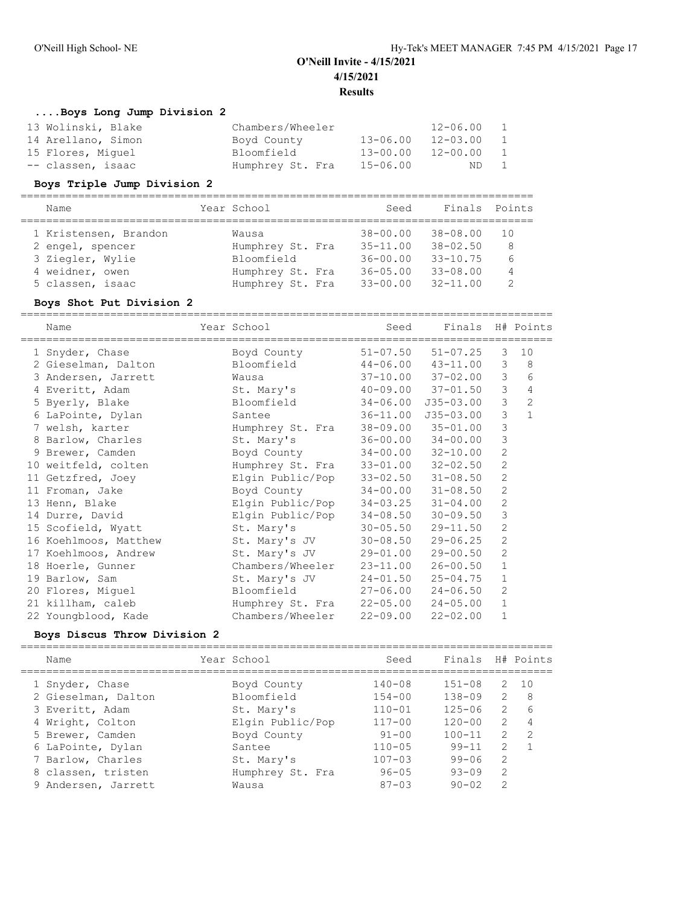## **....Boys Long Jump Division 2**

| Chambers/Wheeler |              | $12 - 06.00$ | $\overline{1}$ |
|------------------|--------------|--------------|----------------|
| Boyd County      | $13 - 06.00$ | $12 - 03.00$ | $\overline{1}$ |
| Bloomfield       | $13 - 00.00$ | $12 - 00.00$ | $\overline{1}$ |
| Humphrey St. Fra | 15-06.00     | ND.          | $\overline{1}$ |
|                  |              |              |                |

### **Boys Triple Jump Division 2**

| Name                  | Year School      | Seed         | Finals Points |               |  |  |  |  |
|-----------------------|------------------|--------------|---------------|---------------|--|--|--|--|
|                       |                  |              |               |               |  |  |  |  |
| 1 Kristensen, Brandon | Wausa            | $38 - 00.00$ | 38-08.00      | 1 O           |  |  |  |  |
| 2 engel, spencer      | Humphrey St. Fra | $35 - 11.00$ | $38 - 02.50$  | 8             |  |  |  |  |
| 3 Ziegler, Wylie      | Bloomfield       | $36 - 00.00$ | $33 - 10.75$  | 6             |  |  |  |  |
| 4 weidner, owen       | Humphrey St. Fra | $36 - 05.00$ | $33 - 08.00$  | 4             |  |  |  |  |
| 5 classen, isaac      | Humphrey St. Fra | $33 - 00.00$ | $32 - 11.00$  | $\mathcal{D}$ |  |  |  |  |

### **Boys Shot Put Division 2**

| Name                  | Year School      | Seed                      | Finals H# Points          |                |                |
|-----------------------|------------------|---------------------------|---------------------------|----------------|----------------|
| 1 Snyder, Chase       | Boyd County      | $51 - 07.50$              | $51 - 07.25$              | 3              | 10             |
| 2 Gieselman, Dalton   | Bloomfield       |                           | $44 - 06.00$ $43 - 11.00$ | 3              | 8              |
| 3 Andersen, Jarrett   | Wausa            |                           | $37 - 10.00$ $37 - 02.00$ | 3              | 6              |
| 4 Everitt, Adam       | St. Mary's       |                           | $40 - 09.00$ $37 - 01.50$ | $\mathfrak{Z}$ | $\overline{4}$ |
| 5 Byerly, Blake       | Bloomfield       | $34 - 06.00$              | $J35 - 03.00$             | 3              | $\overline{c}$ |
| 6 LaPointe, Dylan     | Santee           | 36-11.00                  | $J35 - 03.00$             | 3              | $\mathbf{1}$   |
| 7 welsh, karter       | Humphrey St. Fra |                           | $38 - 09.00$ $35 - 01.00$ | 3              |                |
| 8 Barlow, Charles     | St. Mary's       |                           | $36 - 00.00$ $34 - 00.00$ | 3              |                |
| 9 Brewer, Camden      | Boyd County      | 34-00.00                  | $32 - 10.00$              | $\mathbf{2}$   |                |
| 10 weitfeld, colten   | Humphrey St. Fra |                           | $33 - 01.00$ $32 - 02.50$ | $\mathbf{2}$   |                |
| 11 Getzfred, Joey     | Elgin Public/Pop | $33 - 02.50$              | $31 - 08.50$              | $\overline{2}$ |                |
| 11 Froman, Jake       | Boyd County      | $34 - 00.00$ $31 - 08.50$ |                           | $\mathbf{2}$   |                |
| 13 Henn, Blake        | Elgin Public/Pop | 34-03.25                  | $31 - 04.00$              | 2              |                |
| 14 Durre, David       | Elgin Public/Pop | 34-08.50                  | $30 - 09.50$              | 3              |                |
| 15 Scofield, Wyatt    | St. Mary's       | $30 - 05.50$              | $29 - 11.50$              | $\mathbf{2}$   |                |
| 16 Koehlmoos, Matthew | St. Mary's JV    | $30 - 08.50$              | $29 - 06.25$              | 2              |                |
| 17 Koehlmoos, Andrew  | St. Mary's JV    | 29-01.00                  | $29 - 00.50$              | $\mathbf{2}$   |                |
| 18 Hoerle, Gunner     | Chambers/Wheeler | $23 - 11.00$              | $26 - 00.50$              | $\mathbf{1}$   |                |
| 19 Barlow, Sam        | St. Mary's JV    | $24 - 01.50$              | $25 - 04.75$              | $\mathbf{1}$   |                |
| 20 Flores, Miguel     | Bloomfield       | $27 - 06.00$              | $24 - 06.50$              | $\mathbf{2}$   |                |
| 21 killham, caleb     | Humphrey St. Fra | $22 - 05.00$              | $24 - 05.00$              | $\mathbf{1}$   |                |
| 22 Youngblood, Kade   | Chambers/Wheeler | $22 - 09.00$              | $22 - 02.00$              | $\mathbf{1}$   |                |

### **Boys Discus Throw Division 2**

| Name                | Year School      | Seed       | Finals     |                | H# Points      |
|---------------------|------------------|------------|------------|----------------|----------------|
| 1 Snyder, Chase     | Boyd County      | $140 - 08$ | $151 - 08$ | 2              | 10             |
| 2 Gieselman, Dalton | Bloomfield       | $154 - 00$ | $138 - 09$ | 2              | 8              |
| 3 Everitt, Adam     | St. Mary's       | $110 - 01$ | $125 - 06$ | 2              | 6              |
| 4 Wright, Colton    | Elgin Public/Pop | $117 - 00$ | $120 - 00$ | $\mathcal{L}$  | 4              |
| 5 Brewer, Camden    | Boyd County      | $91 - 00$  | $100 - 11$ | $\mathfrak{L}$ | $\overline{2}$ |
| 6 LaPointe, Dylan   | Santee           | $110 - 05$ | $99 - 11$  | 2              |                |
| 7 Barlow, Charles   | St. Mary's       | $107 - 03$ | $99 - 06$  | 2              |                |
| 8 classen, tristen  | Humphrey St. Fra | $96 - 05$  | $93 - 09$  | $\mathcal{L}$  |                |
| 9 Andersen, Jarrett | Wausa            | $87 - 03$  | $90 - 02$  | $\mathcal{L}$  |                |